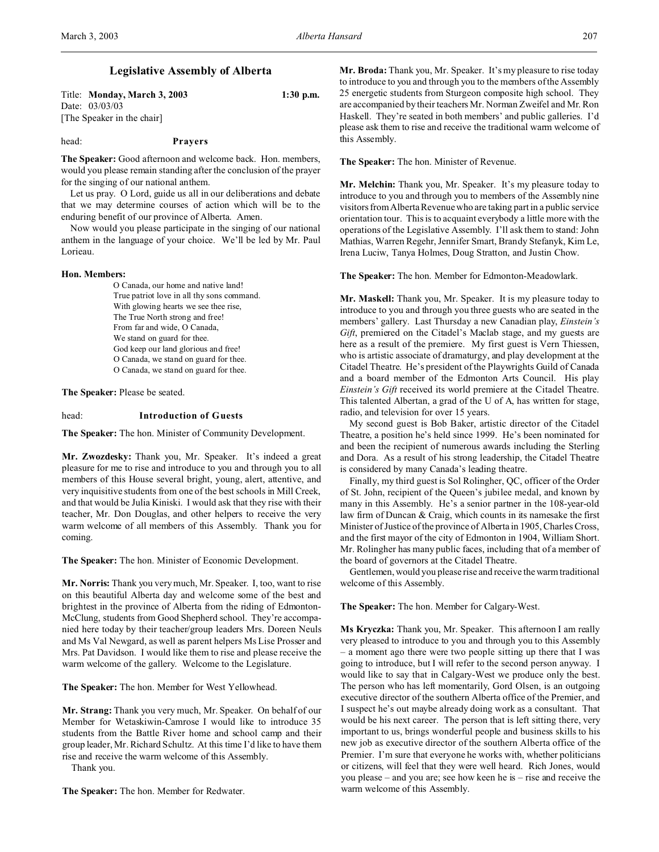Title: **Monday, March 3, 2003 1:30 p.m.** Date: 03/03/03 [The Speaker in the chair]

#### head: **Prayers**

**The Speaker:** Good afternoon and welcome back. Hon. members, would you please remain standing after the conclusion of the prayer for the singing of our national anthem.

Let us pray. O Lord, guide us all in our deliberations and debate that we may determine courses of action which will be to the enduring benefit of our province of Alberta. Amen.

Now would you please participate in the singing of our national anthem in the language of your choice. We'll be led by Mr. Paul Lorieau.

#### **Hon. Members:**

O Canada, our home and native land! True patriot love in all thy sons command. With glowing hearts we see thee rise, The True North strong and free! From far and wide, O Canada, We stand on guard for thee. God keep our land glorious and free! O Canada, we stand on guard for thee. O Canada, we stand on guard for thee.

**The Speaker:** Please be seated.

## head: **Introduction of Guests**

**The Speaker:** The hon. Minister of Community Development.

**Mr. Zwozdesky:** Thank you, Mr. Speaker. It's indeed a great pleasure for me to rise and introduce to you and through you to all members of this House several bright, young, alert, attentive, and very inquisitive students from one of the best schools in Mill Creek, and that would be Julia Kiniski. I would ask that they rise with their teacher, Mr. Don Douglas, and other helpers to receive the very warm welcome of all members of this Assembly. Thank you for coming.

**The Speaker:** The hon. Minister of Economic Development.

**Mr. Norris:** Thank you very much, Mr. Speaker. I, too, want to rise on this beautiful Alberta day and welcome some of the best and brightest in the province of Alberta from the riding of Edmonton-McClung, students from Good Shepherd school. They're accompanied here today by their teacher/group leaders Mrs. Doreen Neuls and Ms Val Newgard, as well as parent helpers Ms Lise Prosser and Mrs. Pat Davidson. I would like them to rise and please receive the warm welcome of the gallery. Welcome to the Legislature.

**The Speaker:** The hon. Member for West Yellowhead.

**Mr. Strang:** Thank you very much, Mr. Speaker. On behalf of our Member for Wetaskiwin-Camrose I would like to introduce 35 students from the Battle River home and school camp and their group leader, Mr. Richard Schultz. At this time I'd like to have them rise and receive the warm welcome of this Assembly.

Thank you.

**The Speaker:** The hon. Member for Redwater.

**Mr. Broda:** Thank you, Mr. Speaker. It's my pleasure to rise today to introduce to you and through you to the members of the Assembly 25 energetic students from Sturgeon composite high school. They are accompanied by their teachers Mr. Norman Zweifel and Mr. Ron Haskell. They're seated in both members' and public galleries. I'd please ask them to rise and receive the traditional warm welcome of this Assembly.

**The Speaker:** The hon. Minister of Revenue.

**Mr. Melchin:** Thank you, Mr. Speaker. It's my pleasure today to introduce to you and through you to members of the Assembly nine visitors from Alberta Revenue who are taking part in a public service orientation tour. This is to acquaint everybody a little more with the operations of the Legislative Assembly. I'll ask them to stand: John Mathias, Warren Regehr, Jennifer Smart, Brandy Stefanyk, Kim Le, Irena Luciw, Tanya Holmes, Doug Stratton, and Justin Chow.

**The Speaker:** The hon. Member for Edmonton-Meadowlark.

**Mr. Maskell:** Thank you, Mr. Speaker. It is my pleasure today to introduce to you and through you three guests who are seated in the members' gallery. Last Thursday a new Canadian play, *Einstein's Gift*, premiered on the Citadel's Maclab stage, and my guests are here as a result of the premiere. My first guest is Vern Thiessen, who is artistic associate of dramaturgy, and play development at the Citadel Theatre. He's president of the Playwrights Guild of Canada and a board member of the Edmonton Arts Council. His play *Einstein's Gift* received its world premiere at the Citadel Theatre. This talented Albertan, a grad of the U of A, has written for stage, radio, and television for over 15 years.

My second guest is Bob Baker, artistic director of the Citadel Theatre, a position he's held since 1999. He's been nominated for and been the recipient of numerous awards including the Sterling and Dora. As a result of his strong leadership, the Citadel Theatre is considered by many Canada's leading theatre.

Finally, my third guest is Sol Rolingher, QC, officer of the Order of St. John, recipient of the Queen's jubilee medal, and known by many in this Assembly. He's a senior partner in the 108-year-old law firm of Duncan & Craig, which counts in its namesake the first Minister of Justice of the province of Alberta in 1905, Charles Cross, and the first mayor of the city of Edmonton in 1904, William Short. Mr. Rolingher has many public faces, including that of a member of the board of governors at the Citadel Theatre.

Gentlemen, would you please rise and receive the warm traditional welcome of this Assembly.

**The Speaker:** The hon. Member for Calgary-West.

**Ms Kryczka:** Thank you, Mr. Speaker. This afternoon I am really very pleased to introduce to you and through you to this Assembly – a moment ago there were two people sitting up there that I was going to introduce, but I will refer to the second person anyway. I would like to say that in Calgary-West we produce only the best. The person who has left momentarily, Gord Olsen, is an outgoing executive director of the southern Alberta office of the Premier, and I suspect he's out maybe already doing work as a consultant. That would be his next career. The person that is left sitting there, very important to us, brings wonderful people and business skills to his new job as executive director of the southern Alberta office of the Premier. I'm sure that everyone he works with, whether politicians or citizens, will feel that they were well heard. Rich Jones, would you please – and you are; see how keen he is – rise and receive the warm welcome of this Assembly.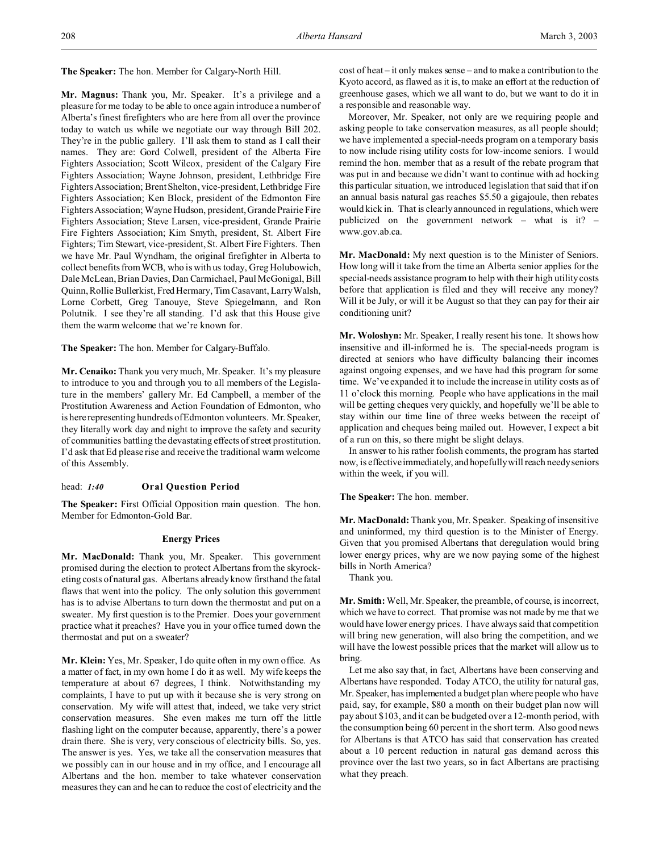**The Speaker:** The hon. Member for Calgary-North Hill.

**Mr. Magnus:** Thank you, Mr. Speaker. It's a privilege and a pleasure for me today to be able to once again introduce a number of Alberta's finest firefighters who are here from all over the province today to watch us while we negotiate our way through Bill 202. They're in the public gallery. I'll ask them to stand as I call their names. They are: Gord Colwell, president of the Alberta Fire Fighters Association; Scott Wilcox, president of the Calgary Fire Fighters Association; Wayne Johnson, president, Lethbridge Fire Fighters Association; Brent Shelton, vice-president, Lethbridge Fire Fighters Association; Ken Block, president of the Edmonton Fire Fighters Association; Wayne Hudson, president, Grande Prairie Fire Fighters Association; Steve Larsen, vice-president, Grande Prairie Fire Fighters Association; Kim Smyth, president, St. Albert Fire Fighters; Tim Stewart, vice-president, St. Albert Fire Fighters. Then we have Mr. Paul Wyndham, the original firefighter in Alberta to collect benefits from WCB, who is with us today, Greg Holubowich, Dale McLean, Brian Davies, Dan Carmichael, Paul McGonigal, Bill Quinn, Rollie Bullerkist, Fred Hermary, Tim Casavant, Larry Walsh, Lorne Corbett, Greg Tanouye, Steve Spiegelmann, and Ron Polutnik. I see they're all standing. I'd ask that this House give them the warm welcome that we're known for.

**The Speaker:** The hon. Member for Calgary-Buffalo.

**Mr. Cenaiko:** Thank you very much, Mr. Speaker. It's my pleasure to introduce to you and through you to all members of the Legislature in the members' gallery Mr. Ed Campbell, a member of the Prostitution Awareness and Action Foundation of Edmonton, who is here representing hundreds of Edmonton volunteers. Mr. Speaker, they literally work day and night to improve the safety and security of communities battling the devastating effects of street prostitution. I'd ask that Ed please rise and receive the traditional warm welcome of this Assembly.

# head: *1:40* **Oral Question Period**

**The Speaker:** First Official Opposition main question. The hon. Member for Edmonton-Gold Bar.

## **Energy Prices**

**Mr. MacDonald:** Thank you, Mr. Speaker. This government promised during the election to protect Albertans from the skyrocketing costs of natural gas. Albertans already know firsthand the fatal flaws that went into the policy. The only solution this government has is to advise Albertans to turn down the thermostat and put on a sweater. My first question is to the Premier. Does your government practice what it preaches? Have you in your office turned down the thermostat and put on a sweater?

**Mr. Klein:** Yes, Mr. Speaker, I do quite often in my own office. As a matter of fact, in my own home I do it as well. My wife keeps the temperature at about 67 degrees, I think. Notwithstanding my complaints, I have to put up with it because she is very strong on conservation. My wife will attest that, indeed, we take very strict conservation measures. She even makes me turn off the little flashing light on the computer because, apparently, there's a power drain there. She is very, very conscious of electricity bills. So, yes. The answer is yes. Yes, we take all the conservation measures that we possibly can in our house and in my office, and I encourage all Albertans and the hon. member to take whatever conservation measures they can and he can to reduce the cost of electricity and the cost of heat – it only makes sense – and to make a contribution to the Kyoto accord, as flawed as it is, to make an effort at the reduction of greenhouse gases, which we all want to do, but we want to do it in a responsible and reasonable way.

Moreover, Mr. Speaker, not only are we requiring people and asking people to take conservation measures, as all people should; we have implemented a special-needs program on a temporary basis to now include rising utility costs for low-income seniors. I would remind the hon. member that as a result of the rebate program that was put in and because we didn't want to continue with ad hocking this particular situation, we introduced legislation that said that if on an annual basis natural gas reaches \$5.50 a gigajoule, then rebates would kick in. That is clearly announced in regulations, which were publicized on the government network – what is it? – www.gov.ab.ca.

**Mr. MacDonald:** My next question is to the Minister of Seniors. How long will it take from the time an Alberta senior applies for the special-needs assistance program to help with their high utility costs before that application is filed and they will receive any money? Will it be July, or will it be August so that they can pay for their air conditioning unit?

**Mr. Woloshyn:** Mr. Speaker, I really resent his tone. It shows how insensitive and ill-informed he is. The special-needs program is directed at seniors who have difficulty balancing their incomes against ongoing expenses, and we have had this program for some time. We've expanded it to include the increase in utility costs as of 11 o'clock this morning. People who have applications in the mail will be getting cheques very quickly, and hopefully we'll be able to stay within our time line of three weeks between the receipt of application and cheques being mailed out. However, I expect a bit of a run on this, so there might be slight delays.

In answer to his rather foolish comments, the program has started now, is effective immediately, and hopefully will reach needy seniors within the week, if you will.

**The Speaker:** The hon. member.

**Mr. MacDonald:** Thank you, Mr. Speaker. Speaking of insensitive and uninformed, my third question is to the Minister of Energy. Given that you promised Albertans that deregulation would bring lower energy prices, why are we now paying some of the highest bills in North America?

Thank you.

**Mr. Smith:** Well, Mr. Speaker, the preamble, of course, is incorrect, which we have to correct. That promise was not made by me that we would have lower energy prices. I have always said that competition will bring new generation, will also bring the competition, and we will have the lowest possible prices that the market will allow us to bring.

Let me also say that, in fact, Albertans have been conserving and Albertans have responded. Today ATCO, the utility for natural gas, Mr. Speaker, has implemented a budget plan where people who have paid, say, for example, \$80 a month on their budget plan now will pay about \$103, and it can be budgeted over a 12-month period, with the consumption being 60 percent in the short term. Also good news for Albertans is that ATCO has said that conservation has created about a 10 percent reduction in natural gas demand across this province over the last two years, so in fact Albertans are practising what they preach.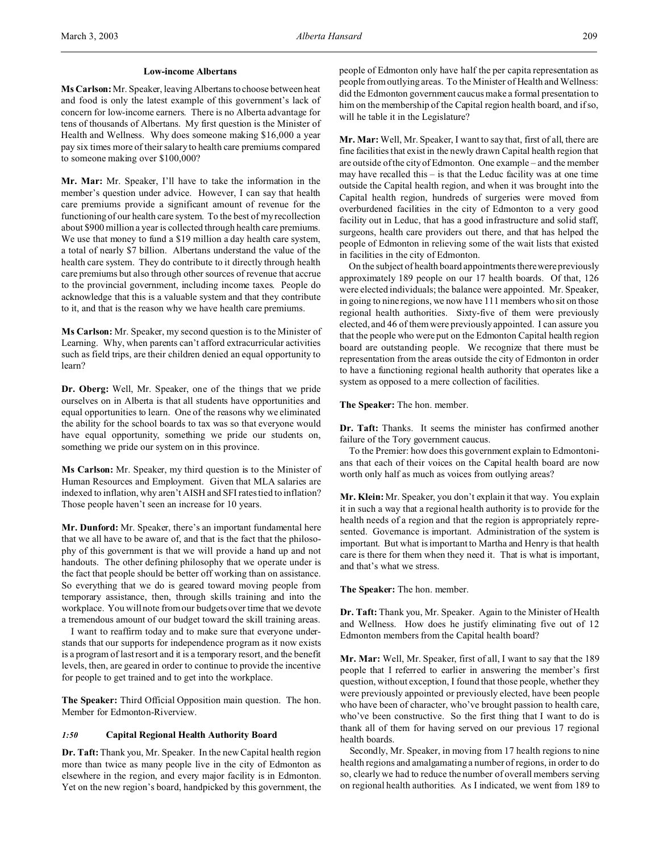#### **Low-income Albertans**

**Ms Carlson:** Mr. Speaker, leaving Albertans to choose between heat and food is only the latest example of this government's lack of concern for low-income earners. There is no Alberta advantage for tens of thousands of Albertans. My first question is the Minister of Health and Wellness. Why does someone making \$16,000 a year pay six times more of their salary to health care premiums compared to someone making over \$100,000?

**Mr. Mar:** Mr. Speaker, I'll have to take the information in the member's question under advice. However, I can say that health care premiums provide a significant amount of revenue for the functioning of our health care system. To the best of my recollection about \$900 million a year is collected through health care premiums. We use that money to fund a \$19 million a day health care system, a total of nearly \$7 billion. Albertans understand the value of the health care system. They do contribute to it directly through health care premiums but also through other sources of revenue that accrue to the provincial government, including income taxes. People do acknowledge that this is a valuable system and that they contribute to it, and that is the reason why we have health care premiums.

**Ms Carlson:** Mr. Speaker, my second question is to the Minister of Learning. Why, when parents can't afford extracurricular activities such as field trips, are their children denied an equal opportunity to learn?

**Dr. Oberg:** Well, Mr. Speaker, one of the things that we pride ourselves on in Alberta is that all students have opportunities and equal opportunities to learn. One of the reasons why we eliminated the ability for the school boards to tax was so that everyone would have equal opportunity, something we pride our students on, something we pride our system on in this province.

**Ms Carlson:** Mr. Speaker, my third question is to the Minister of Human Resources and Employment. Given that MLA salaries are indexed to inflation, why aren't AISH and SFI rates tied to inflation? Those people haven't seen an increase for 10 years.

**Mr. Dunford:** Mr. Speaker, there's an important fundamental here that we all have to be aware of, and that is the fact that the philosophy of this government is that we will provide a hand up and not handouts. The other defining philosophy that we operate under is the fact that people should be better off working than on assistance. So everything that we do is geared toward moving people from temporary assistance, then, through skills training and into the workplace. You will note from our budgets over time that we devote a tremendous amount of our budget toward the skill training areas.

I want to reaffirm today and to make sure that everyone understands that our supports for independence program as it now exists is a program of last resort and it is a temporary resort, and the benefit levels, then, are geared in order to continue to provide the incentive for people to get trained and to get into the workplace.

**The Speaker:** Third Official Opposition main question. The hon. Member for Edmonton-Riverview.

#### *1:50* **Capital Regional Health Authority Board**

**Dr. Taft:**Thank you, Mr. Speaker. In the new Capital health region more than twice as many people live in the city of Edmonton as elsewhere in the region, and every major facility is in Edmonton. Yet on the new region's board, handpicked by this government, the people of Edmonton only have half the per capita representation as people from outlying areas. To the Minister of Health and Wellness: did the Edmonton government caucus make a formal presentation to him on the membership of the Capital region health board, and if so, will he table it in the Legislature?

**Mr. Mar:** Well, Mr. Speaker, I want to say that, first of all, there are fine facilities that exist in the newly drawn Capital health region that are outside of the city of Edmonton. One example – and the member may have recalled this – is that the Leduc facility was at one time outside the Capital health region, and when it was brought into the Capital health region, hundreds of surgeries were moved from overburdened facilities in the city of Edmonton to a very good facility out in Leduc, that has a good infrastructure and solid staff, surgeons, health care providers out there, and that has helped the people of Edmonton in relieving some of the wait lists that existed in facilities in the city of Edmonton.

On the subject of health board appointments there were previously approximately 189 people on our 17 health boards. Of that, 126 were elected individuals; the balance were appointed. Mr. Speaker, in going to nine regions, we now have 111 members who sit on those regional health authorities. Sixty-five of them were previously elected, and 46 of them were previously appointed. I can assure you that the people who were put on the Edmonton Capital health region board are outstanding people. We recognize that there must be representation from the areas outside the city of Edmonton in order to have a functioning regional health authority that operates like a system as opposed to a mere collection of facilities.

#### **The Speaker:** The hon. member.

**Dr. Taft:** Thanks. It seems the minister has confirmed another failure of the Tory government caucus.

To the Premier: how does this government explain to Edmontonians that each of their voices on the Capital health board are now worth only half as much as voices from outlying areas?

**Mr. Klein:** Mr. Speaker, you don't explain it that way. You explain it in such a way that a regional health authority is to provide for the health needs of a region and that the region is appropriately represented. Governance is important. Administration of the system is important. But what is important to Martha and Henry is that health care is there for them when they need it. That is what is important, and that's what we stress.

**The Speaker:** The hon. member.

**Dr. Taft:** Thank you, Mr. Speaker. Again to the Minister of Health and Wellness. How does he justify eliminating five out of 12 Edmonton members from the Capital health board?

**Mr. Mar:** Well, Mr. Speaker, first of all, I want to say that the 189 people that I referred to earlier in answering the member's first question, without exception, I found that those people, whether they were previously appointed or previously elected, have been people who have been of character, who've brought passion to health care, who've been constructive. So the first thing that I want to do is thank all of them for having served on our previous 17 regional health boards.

Secondly, Mr. Speaker, in moving from 17 health regions to nine health regions and amalgamating a number of regions, in order to do so, clearly we had to reduce the number of overall members serving on regional health authorities. As I indicated, we went from 189 to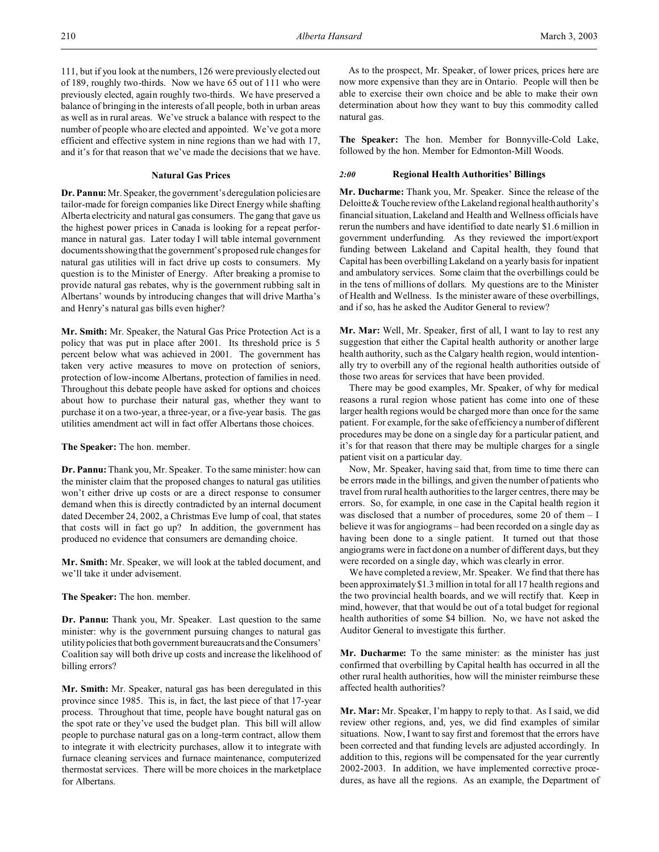111, but if you look at the numbers, 126 were previously elected out of 189, roughly two-thirds. Now we have 65 out of 111 who were previously elected, again roughly two-thirds. We have preserved a balance of bringing in the interests of all people, both in urban areas as well as in rural areas. We've struck a balance with respect to the number of people who are elected and appointed. We've got a more efficient and effective system in nine regions than we had with 17, and it's for that reason that we've made the decisions that we have.

## **Natural Gas Prices**

**Dr. Pannu:** Mr. Speaker, the government's deregulation policies are tailor-made for foreign companies like Direct Energy while shafting Alberta electricity and natural gas consumers. The gang that gave us the highest power prices in Canada is looking for a repeat performance in natural gas. Later today I will table internal government documents showing that the government's proposed rule changes for natural gas utilities will in fact drive up costs to consumers. My question is to the Minister of Energy. After breaking a promise to provide natural gas rebates, why is the government rubbing salt in Albertans' wounds by introducing changes that will drive Martha's and Henry's natural gas bills even higher?

**Mr. Smith:** Mr. Speaker, the Natural Gas Price Protection Act is a policy that was put in place after 2001. Its threshold price is 5 percent below what was achieved in 2001. The government has taken very active measures to move on protection of seniors, protection of low-income Albertans, protection of families in need. Throughout this debate people have asked for options and choices about how to purchase their natural gas, whether they want to purchase it on a two-year, a three-year, or a five-year basis. The gas utilities amendment act will in fact offer Albertans those choices.

**The Speaker:** The hon. member.

**Dr. Pannu:** Thank you, Mr. Speaker. To the same minister: how can the minister claim that the proposed changes to natural gas utilities won't either drive up costs or are a direct response to consumer demand when this is directly contradicted by an internal document dated December 24, 2002, a Christmas Eve lump of coal, that states that costs will in fact go up? In addition, the government has produced no evidence that consumers are demanding choice.

**Mr. Smith:** Mr. Speaker, we will look at the tabled document, and we'll take it under advisement.

# **The Speaker:** The hon. member.

**Dr. Pannu:** Thank you, Mr. Speaker. Last question to the same minister: why is the government pursuing changes to natural gas utility policies that both government bureaucratsand the Consumers' Coalition say will both drive up costs and increase the likelihood of billing errors?

**Mr. Smith:** Mr. Speaker, natural gas has been deregulated in this province since 1985. This is, in fact, the last piece of that 17-year process. Throughout that time, people have bought natural gas on the spot rate or they've used the budget plan. This bill will allow people to purchase natural gas on a long-term contract, allow them to integrate it with electricity purchases, allow it to integrate with furnace cleaning services and furnace maintenance, computerized thermostat services. There will be more choices in the marketplace for Albertans.

As to the prospect, Mr. Speaker, of lower prices, prices here are now more expensive than they are in Ontario. People will then be able to exercise their own choice and be able to make their own determination about how they want to buy this commodity called natural gas.

**The Speaker:** The hon. Member for Bonnyville-Cold Lake, followed by the hon. Member for Edmonton-Mill Woods.

#### *2:00* **Regional Health Authorities' Billings**

**Mr. Ducharme:** Thank you, Mr. Speaker. Since the release of the Deloitte & Touche review of the Lakeland regional health authority's financial situation, Lakeland and Health and Wellness officials have rerun the numbers and have identified to date nearly \$1.6 million in government underfunding. As they reviewed the import/export funding between Lakeland and Capital health, they found that Capital has been overbilling Lakeland on a yearly basis for inpatient and ambulatory services. Some claim that the overbillings could be in the tens of millions of dollars. My questions are to the Minister of Health and Wellness. Is the minister aware of these overbillings, and if so, has he asked the Auditor General to review?

**Mr. Mar:** Well, Mr. Speaker, first of all, I want to lay to rest any suggestion that either the Capital health authority or another large health authority, such as the Calgary health region, would intentionally try to overbill any of the regional health authorities outside of those two areas for services that have been provided.

There may be good examples, Mr. Speaker, of why for medical reasons a rural region whose patient has come into one of these larger health regions would be charged more than once for the same patient. For example, for the sake of efficiency a number of different procedures may be done on a single day for a particular patient, and it's for that reason that there may be multiple charges for a single patient visit on a particular day.

Now, Mr. Speaker, having said that, from time to time there can be errors made in the billings, and given the number of patients who travel from rural health authorities to the larger centres, there may be errors. So, for example, in one case in the Capital health region it was disclosed that a number of procedures, some 20 of them – I believe it was for angiograms – had been recorded on a single day as having been done to a single patient. It turned out that those angiograms were in fact done on a number of different days, but they were recorded on a single day, which was clearly in error.

We have completed a review, Mr. Speaker. We find that there has been approximately \$1.3 million in total for all 17 health regions and the two provincial health boards, and we will rectify that. Keep in mind, however, that that would be out of a total budget for regional health authorities of some \$4 billion. No, we have not asked the Auditor General to investigate this further.

**Mr. Ducharme:** To the same minister: as the minister has just confirmed that overbilling by Capital health has occurred in all the other rural health authorities, how will the minister reimburse these affected health authorities?

**Mr. Mar:** Mr. Speaker, I'm happy to reply to that. As I said, we did review other regions, and, yes, we did find examples of similar situations. Now, I want to say first and foremost that the errors have been corrected and that funding levels are adjusted accordingly. In addition to this, regions will be compensated for the year currently 2002-2003. In addition, we have implemented corrective procedures, as have all the regions. As an example, the Department of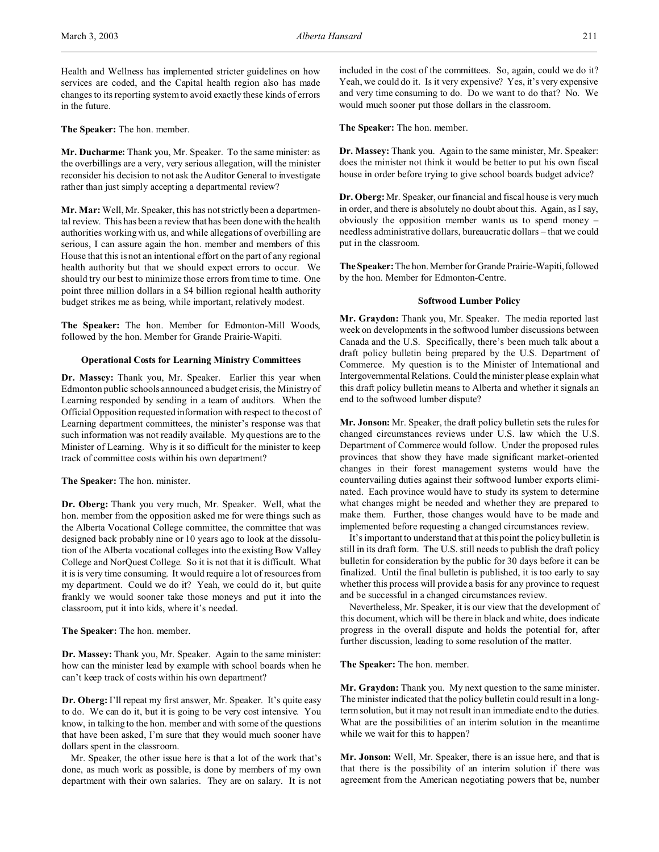Health and Wellness has implemented stricter guidelines on how services are coded, and the Capital health region also has made changes to its reporting system to avoid exactly these kinds of errors in the future.

**The Speaker:** The hon. member.

**Mr. Ducharme:** Thank you, Mr. Speaker. To the same minister: as the overbillings are a very, very serious allegation, will the minister reconsider his decision to not ask the Auditor General to investigate rather than just simply accepting a departmental review?

**Mr. Mar:** Well, Mr. Speaker, this has not strictly been a departmental review. This has been a review that has been done with the health authorities working with us, and while allegations of overbilling are serious, I can assure again the hon. member and members of this House that this is not an intentional effort on the part of any regional health authority but that we should expect errors to occur. We should try our best to minimize those errors from time to time. One point three million dollars in a \$4 billion regional health authority budget strikes me as being, while important, relatively modest.

**The Speaker:** The hon. Member for Edmonton-Mill Woods, followed by the hon. Member for Grande Prairie-Wapiti.

## **Operational Costs for Learning Ministry Committees**

**Dr. Massey:** Thank you, Mr. Speaker. Earlier this year when Edmonton public schools announced a budget crisis, the Ministry of Learning responded by sending in a team of auditors. When the Official Opposition requested information with respect to the cost of Learning department committees, the minister's response was that such information was not readily available. My questions are to the Minister of Learning. Why is it so difficult for the minister to keep track of committee costs within his own department?

**The Speaker:** The hon. minister.

**Dr. Oberg:** Thank you very much, Mr. Speaker. Well, what the hon. member from the opposition asked me for were things such as the Alberta Vocational College committee, the committee that was designed back probably nine or 10 years ago to look at the dissolution of the Alberta vocational colleges into the existing Bow Valley College and NorQuest College. So it is not that it is difficult. What it is is very time consuming. It would require a lot of resources from my department. Could we do it? Yeah, we could do it, but quite frankly we would sooner take those moneys and put it into the classroom, put it into kids, where it's needed.

**The Speaker:** The hon. member.

**Dr. Massey:** Thank you, Mr. Speaker. Again to the same minister: how can the minister lead by example with school boards when he can't keep track of costs within his own department?

**Dr. Oberg:** I'll repeat my first answer, Mr. Speaker. It's quite easy to do. We can do it, but it is going to be very cost intensive. You know, in talking to the hon. member and with some of the questions that have been asked, I'm sure that they would much sooner have dollars spent in the classroom.

Mr. Speaker, the other issue here is that a lot of the work that's done, as much work as possible, is done by members of my own department with their own salaries. They are on salary. It is not

included in the cost of the committees. So, again, could we do it? Yeah, we could do it. Is it very expensive? Yes, it's very expensive and very time consuming to do. Do we want to do that? No. We would much sooner put those dollars in the classroom.

**The Speaker:** The hon. member.

**Dr. Massey:** Thank you. Again to the same minister, Mr. Speaker: does the minister not think it would be better to put his own fiscal house in order before trying to give school boards budget advice?

**Dr. Oberg:**Mr. Speaker, our financial and fiscal house is very much in order, and there is absolutely no doubt about this. Again, as I say, obviously the opposition member wants us to spend money – needless administrative dollars, bureaucratic dollars – that we could put in the classroom.

**The Speaker:** The hon. Member for Grande Prairie-Wapiti,followed by the hon. Member for Edmonton-Centre.

#### **Softwood Lumber Policy**

**Mr. Graydon:** Thank you, Mr. Speaker. The media reported last week on developments in the softwood lumber discussions between Canada and the U.S. Specifically, there's been much talk about a draft policy bulletin being prepared by the U.S. Department of Commerce. My question is to the Minister of International and Intergovernmental Relations. Could the minister please explain what this draft policy bulletin means to Alberta and whether it signals an end to the softwood lumber dispute?

**Mr. Jonson:** Mr. Speaker, the draft policy bulletin sets the rules for changed circumstances reviews under U.S. law which the U.S. Department of Commerce would follow. Under the proposed rules provinces that show they have made significant market-oriented changes in their forest management systems would have the countervailing duties against their softwood lumber exports eliminated. Each province would have to study its system to determine what changes might be needed and whether they are prepared to make them. Further, those changes would have to be made and implemented before requesting a changed circumstances review.

It's important to understand that at this point the policy bulletin is still in its draft form. The U.S. still needs to publish the draft policy bulletin for consideration by the public for 30 days before it can be finalized. Until the final bulletin is published, it is too early to say whether this process will provide a basis for any province to request and be successful in a changed circumstances review.

Nevertheless, Mr. Speaker, it is our view that the development of this document, which will be there in black and white, does indicate progress in the overall dispute and holds the potential for, after further discussion, leading to some resolution of the matter.

**The Speaker:** The hon. member.

**Mr. Graydon:** Thank you. My next question to the same minister. The minister indicated that the policy bulletin could result in a longterm solution, but it may not result in an immediate end to the duties. What are the possibilities of an interim solution in the meantime while we wait for this to happen?

**Mr. Jonson:** Well, Mr. Speaker, there is an issue here, and that is that there is the possibility of an interim solution if there was agreement from the American negotiating powers that be, number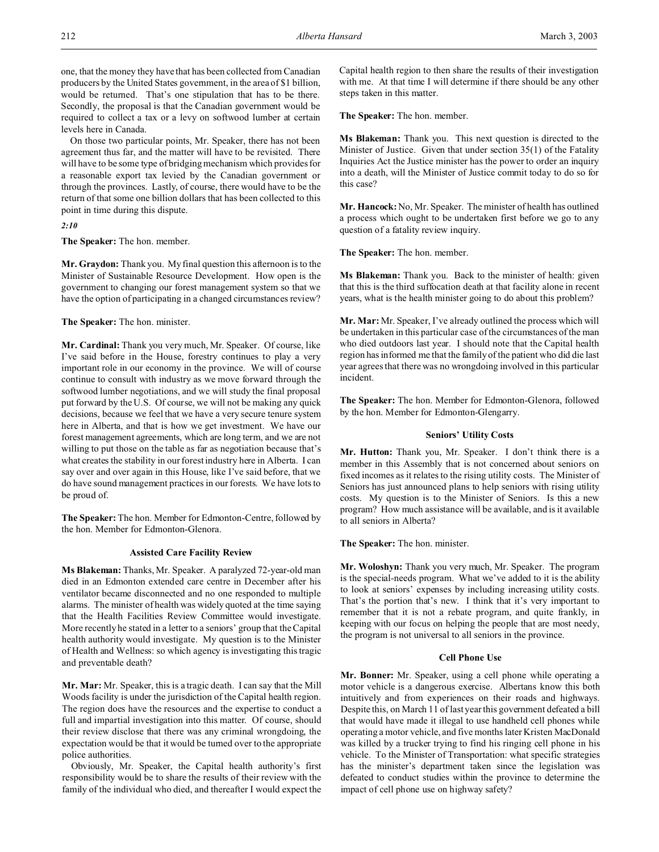one, that the money they have that has been collected from Canadian producers by the United States government, in the area of \$1 billion, would be returned. That's one stipulation that has to be there. Secondly, the proposal is that the Canadian government would be required to collect a tax or a levy on softwood lumber at certain levels here in Canada.

On those two particular points, Mr. Speaker, there has not been agreement thus far, and the matter will have to be revisited. There will have to be some type of bridging mechanism which provides for a reasonable export tax levied by the Canadian government or through the provinces. Lastly, of course, there would have to be the return of that some one billion dollars that has been collected to this point in time during this dispute.

*2:10*

**The Speaker:** The hon. member.

**Mr. Graydon:** Thank you. My final question this afternoon is to the Minister of Sustainable Resource Development. How open is the government to changing our forest management system so that we have the option of participating in a changed circumstances review?

#### **The Speaker:** The hon. minister.

**Mr. Cardinal:** Thank you very much, Mr. Speaker. Of course, like I've said before in the House, forestry continues to play a very important role in our economy in the province. We will of course continue to consult with industry as we move forward through the softwood lumber negotiations, and we will study the final proposal put forward by the U.S. Of course, we will not be making any quick decisions, because we feel that we have a very secure tenure system here in Alberta, and that is how we get investment. We have our forest management agreements, which are long term, and we are not willing to put those on the table as far as negotiation because that's what creates the stability in our forest industry here in Alberta. I can say over and over again in this House, like I've said before, that we do have sound management practices in our forests. We have lots to be proud of.

**The Speaker:** The hon. Member for Edmonton-Centre, followed by the hon. Member for Edmonton-Glenora.

#### **Assisted Care Facility Review**

**Ms Blakeman:** Thanks, Mr. Speaker. A paralyzed 72-year-old man died in an Edmonton extended care centre in December after his ventilator became disconnected and no one responded to multiple alarms. The minister of health was widely quoted at the time saying that the Health Facilities Review Committee would investigate. More recently he stated in a letter to a seniors' group that the Capital health authority would investigate. My question is to the Minister of Health and Wellness: so which agency is investigating this tragic and preventable death?

**Mr. Mar:** Mr. Speaker, this is a tragic death. I can say that the Mill Woods facility is under the jurisdiction of the Capital health region. The region does have the resources and the expertise to conduct a full and impartial investigation into this matter. Of course, should their review disclose that there was any criminal wrongdoing, the expectation would be that it would be turned over to the appropriate police authorities.

Obviously, Mr. Speaker, the Capital health authority's first responsibility would be to share the results of their review with the family of the individual who died, and thereafter I would expect the Capital health region to then share the results of their investigation with me. At that time I will determine if there should be any other steps taken in this matter.

**The Speaker:** The hon. member.

**Ms Blakeman:** Thank you. This next question is directed to the Minister of Justice. Given that under section 35(1) of the Fatality Inquiries Act the Justice minister has the power to order an inquiry into a death, will the Minister of Justice commit today to do so for this case?

**Mr. Hancock:** No, Mr. Speaker. The minister of health has outlined a process which ought to be undertaken first before we go to any question of a fatality review inquiry.

**The Speaker:** The hon. member.

**Ms Blakeman:** Thank you. Back to the minister of health: given that this is the third suffocation death at that facility alone in recent years, what is the health minister going to do about this problem?

**Mr. Mar:** Mr. Speaker, I've already outlined the process which will be undertaken in this particular case of the circumstances of the man who died outdoors last year. I should note that the Capital health region has informed me that the family of the patient who did die last year agrees that there was no wrongdoing involved in this particular incident.

**The Speaker:** The hon. Member for Edmonton-Glenora, followed by the hon. Member for Edmonton-Glengarry.

#### **Seniors' Utility Costs**

**Mr. Hutton:** Thank you, Mr. Speaker. I don't think there is a member in this Assembly that is not concerned about seniors on fixed incomes as it relates to the rising utility costs. The Minister of Seniors has just announced plans to help seniors with rising utility costs. My question is to the Minister of Seniors. Is this a new program? How much assistance will be available, and is it available to all seniors in Alberta?

**The Speaker:** The hon. minister.

**Mr. Woloshyn:** Thank you very much, Mr. Speaker. The program is the special-needs program. What we've added to it is the ability to look at seniors' expenses by including increasing utility costs. That's the portion that's new. I think that it's very important to remember that it is not a rebate program, and quite frankly, in keeping with our focus on helping the people that are most needy, the program is not universal to all seniors in the province.

#### **Cell Phone Use**

**Mr. Bonner:** Mr. Speaker, using a cell phone while operating a motor vehicle is a dangerous exercise. Albertans know this both intuitively and from experiences on their roads and highways. Despite this, on March 11 of last year this government defeated a bill that would have made it illegal to use handheld cell phones while operating a motor vehicle, and five months later Kristen MacDonald was killed by a trucker trying to find his ringing cell phone in his vehicle. To the Minister of Transportation: what specific strategies has the minister's department taken since the legislation was defeated to conduct studies within the province to determine the impact of cell phone use on highway safety?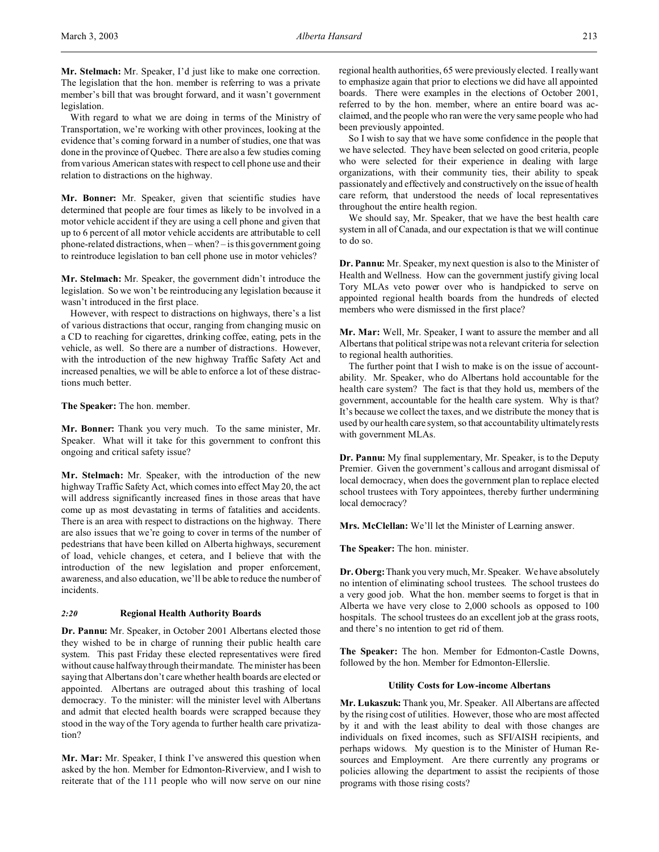**Mr. Stelmach:** Mr. Speaker, I'd just like to make one correction. The legislation that the hon. member is referring to was a private member's bill that was brought forward, and it wasn't government legislation.

With regard to what we are doing in terms of the Ministry of Transportation, we're working with other provinces, looking at the evidence that's coming forward in a number of studies, one that was done in the province of Quebec. There are also a few studies coming from various American states with respect to cell phone use and their relation to distractions on the highway.

**Mr. Bonner:** Mr. Speaker, given that scientific studies have determined that people are four times as likely to be involved in a motor vehicle accident if they are using a cell phone and given that up to 6 percent of all motor vehicle accidents are attributable to cell phone-related distractions, when – when? – is this government going to reintroduce legislation to ban cell phone use in motor vehicles?

**Mr. Stelmach:** Mr. Speaker, the government didn't introduce the legislation. So we won't be reintroducing any legislation because it wasn't introduced in the first place.

However, with respect to distractions on highways, there's a list of various distractions that occur, ranging from changing music on a CD to reaching for cigarettes, drinking coffee, eating, pets in the vehicle, as well. So there are a number of distractions. However, with the introduction of the new highway Traffic Safety Act and increased penalties, we will be able to enforce a lot of these distractions much better.

**The Speaker:** The hon. member.

**Mr. Bonner:** Thank you very much. To the same minister, Mr. Speaker. What will it take for this government to confront this ongoing and critical safety issue?

**Mr. Stelmach:** Mr. Speaker, with the introduction of the new highway Traffic Safety Act, which comes into effect May 20, the act will address significantly increased fines in those areas that have come up as most devastating in terms of fatalities and accidents. There is an area with respect to distractions on the highway. There are also issues that we're going to cover in terms of the number of pedestrians that have been killed on Alberta highways, securement of load, vehicle changes, et cetera, and I believe that with the introduction of the new legislation and proper enforcement, awareness, and also education, we'll be able to reduce the number of incidents.

## *2:20* **Regional Health Authority Boards**

**Dr. Pannu:** Mr. Speaker, in October 2001 Albertans elected those they wished to be in charge of running their public health care system. This past Friday these elected representatives were fired without cause halfway through their mandate. The minister has been saying that Albertans don't care whether health boards are elected or appointed. Albertans are outraged about this trashing of local democracy. To the minister: will the minister level with Albertans and admit that elected health boards were scrapped because they stood in the way of the Tory agenda to further health care privatization?

**Mr. Mar:** Mr. Speaker, I think I've answered this question when asked by the hon. Member for Edmonton-Riverview, and I wish to reiterate that of the 111 people who will now serve on our nine regional health authorities, 65 were previously elected. I really want to emphasize again that prior to elections we did have all appointed boards. There were examples in the elections of October 2001, referred to by the hon. member, where an entire board was acclaimed, and the people who ran were the very same people who had been previously appointed.

So I wish to say that we have some confidence in the people that we have selected. They have been selected on good criteria, people who were selected for their experience in dealing with large organizations, with their community ties, their ability to speak passionately and effectively and constructively on the issue of health care reform, that understood the needs of local representatives throughout the entire health region.

We should say, Mr. Speaker, that we have the best health care system in all of Canada, and our expectation is that we will continue to do so.

**Dr. Pannu:** Mr. Speaker, my next question is also to the Minister of Health and Wellness. How can the government justify giving local Tory MLAs veto power over who is handpicked to serve on appointed regional health boards from the hundreds of elected members who were dismissed in the first place?

**Mr. Mar:** Well, Mr. Speaker, I want to assure the member and all Albertans that political stripe was not a relevant criteria for selection to regional health authorities.

The further point that I wish to make is on the issue of accountability. Mr. Speaker, who do Albertans hold accountable for the health care system? The fact is that they hold us, members of the government, accountable for the health care system. Why is that? It's because we collect the taxes, and we distribute the money that is used by our health care system, so that accountability ultimately rests with government MLAs.

**Dr. Pannu:** My final supplementary, Mr. Speaker, is to the Deputy Premier. Given the government's callous and arrogant dismissal of local democracy, when does the government plan to replace elected school trustees with Tory appointees, thereby further undermining local democracy?

**Mrs. McClellan:** We'll let the Minister of Learning answer.

**The Speaker:** The hon. minister.

**Dr. Oberg:**Thank you very much, Mr. Speaker. We have absolutely no intention of eliminating school trustees. The school trustees do a very good job. What the hon. member seems to forget is that in Alberta we have very close to 2,000 schools as opposed to 100 hospitals. The school trustees do an excellent job at the grass roots, and there's no intention to get rid of them.

**The Speaker:** The hon. Member for Edmonton-Castle Downs, followed by the hon. Member for Edmonton-Ellerslie.

#### **Utility Costs for Low-income Albertans**

**Mr. Lukaszuk:** Thank you, Mr. Speaker. All Albertans are affected by the rising cost of utilities. However, those who are most affected by it and with the least ability to deal with those changes are individuals on fixed incomes, such as SFI/AISH recipients, and perhaps widows. My question is to the Minister of Human Resources and Employment. Are there currently any programs or policies allowing the department to assist the recipients of those programs with those rising costs?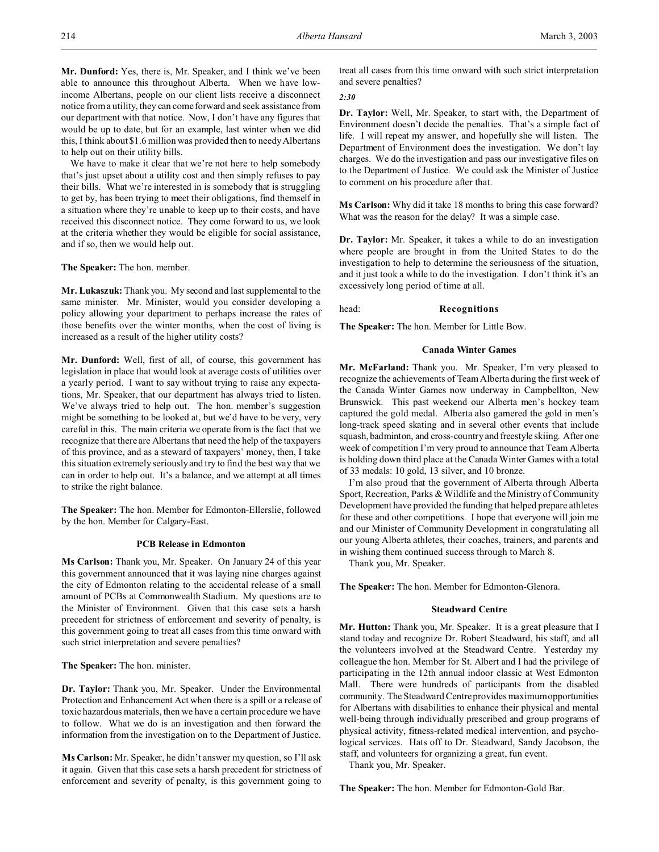**Mr. Dunford:** Yes, there is, Mr. Speaker, and I think we've been able to announce this throughout Alberta. When we have lowincome Albertans, people on our client lists receive a disconnect notice from a utility, they can come forward and seek assistance from our department with that notice. Now, I don't have any figures that would be up to date, but for an example, last winter when we did this, I think about \$1.6 million was provided then to needy Albertans to help out on their utility bills.

We have to make it clear that we're not here to help somebody that's just upset about a utility cost and then simply refuses to pay their bills. What we're interested in is somebody that is struggling to get by, has been trying to meet their obligations, find themself in a situation where they're unable to keep up to their costs, and have received this disconnect notice. They come forward to us, we look at the criteria whether they would be eligible for social assistance, and if so, then we would help out.

**The Speaker:** The hon. member.

**Mr. Lukaszuk:** Thank you. My second and last supplemental to the same minister. Mr. Minister, would you consider developing a policy allowing your department to perhaps increase the rates of those benefits over the winter months, when the cost of living is increased as a result of the higher utility costs?

**Mr. Dunford:** Well, first of all, of course, this government has legislation in place that would look at average costs of utilities over a yearly period. I want to say without trying to raise any expectations, Mr. Speaker, that our department has always tried to listen. We've always tried to help out. The hon. member's suggestion might be something to be looked at, but we'd have to be very, very careful in this. The main criteria we operate from is the fact that we recognize that there are Albertans that need the help of the taxpayers of this province, and as a steward of taxpayers' money, then, I take this situation extremely seriously and try to find the best way that we can in order to help out. It's a balance, and we attempt at all times to strike the right balance.

**The Speaker:** The hon. Member for Edmonton-Ellerslie, followed by the hon. Member for Calgary-East.

#### **PCB Release in Edmonton**

**Ms Carlson:** Thank you, Mr. Speaker. On January 24 of this year this government announced that it was laying nine charges against the city of Edmonton relating to the accidental release of a small amount of PCBs at Commonwealth Stadium. My questions are to the Minister of Environment. Given that this case sets a harsh precedent for strictness of enforcement and severity of penalty, is this government going to treat all cases from this time onward with such strict interpretation and severe penalties?

**The Speaker:** The hon. minister.

**Dr. Taylor:** Thank you, Mr. Speaker. Under the Environmental Protection and Enhancement Act when there is a spill or a release of toxic hazardous materials, then we have a certain procedure we have to follow. What we do is an investigation and then forward the information from the investigation on to the Department of Justice.

**Ms Carlson:** Mr. Speaker, he didn't answer my question, so I'll ask it again. Given that this case sets a harsh precedent for strictness of enforcement and severity of penalty, is this government going to

treat all cases from this time onward with such strict interpretation and severe penalties?

*2:30*

**Dr. Taylor:** Well, Mr. Speaker, to start with, the Department of Environment doesn't decide the penalties. That's a simple fact of life. I will repeat my answer, and hopefully she will listen. The Department of Environment does the investigation. We don't lay charges. We do the investigation and pass our investigative files on to the Department of Justice. We could ask the Minister of Justice to comment on his procedure after that.

**Ms Carlson:** Why did it take 18 months to bring this case forward? What was the reason for the delay? It was a simple case.

**Dr. Taylor:** Mr. Speaker, it takes a while to do an investigation where people are brought in from the United States to do the investigation to help to determine the seriousness of the situation, and it just took a while to do the investigation. I don't think it's an excessively long period of time at all.

head: **Recognitions**

**The Speaker:** The hon. Member for Little Bow.

## **Canada Winter Games**

**Mr. McFarland:** Thank you. Mr. Speaker, I'm very pleased to recognize the achievements of Team Alberta during the first week of the Canada Winter Games now underway in Campbellton, New Brunswick. This past weekend our Alberta men's hockey team captured the gold medal. Alberta also garnered the gold in men's long-track speed skating and in several other events that include squash, badminton, and cross-country and freestyle skiing. After one week of competition I'm very proud to announce that Team Alberta is holding down third place at the Canada Winter Games with a total of 33 medals: 10 gold, 13 silver, and 10 bronze.

I'm also proud that the government of Alberta through Alberta Sport, Recreation, Parks & Wildlife and the Ministry of Community Development have provided the funding that helped prepare athletes for these and other competitions. I hope that everyone will join me and our Minister of Community Development in congratulating all our young Alberta athletes, their coaches, trainers, and parents and in wishing them continued success through to March 8.

Thank you, Mr. Speaker.

**The Speaker:** The hon. Member for Edmonton-Glenora.

#### **Steadward Centre**

**Mr. Hutton:** Thank you, Mr. Speaker. It is a great pleasure that I stand today and recognize Dr. Robert Steadward, his staff, and all the volunteers involved at the Steadward Centre. Yesterday my colleague the hon. Member for St. Albert and I had the privilege of participating in the 12th annual indoor classic at West Edmonton Mall. There were hundreds of participants from the disabled community. The Steadward Centre provides maximum opportunities for Albertans with disabilities to enhance their physical and mental well-being through individually prescribed and group programs of physical activity, fitness-related medical intervention, and psychological services. Hats off to Dr. Steadward, Sandy Jacobson, the staff, and volunteers for organizing a great, fun event.

Thank you, Mr. Speaker.

**The Speaker:** The hon. Member for Edmonton-Gold Bar.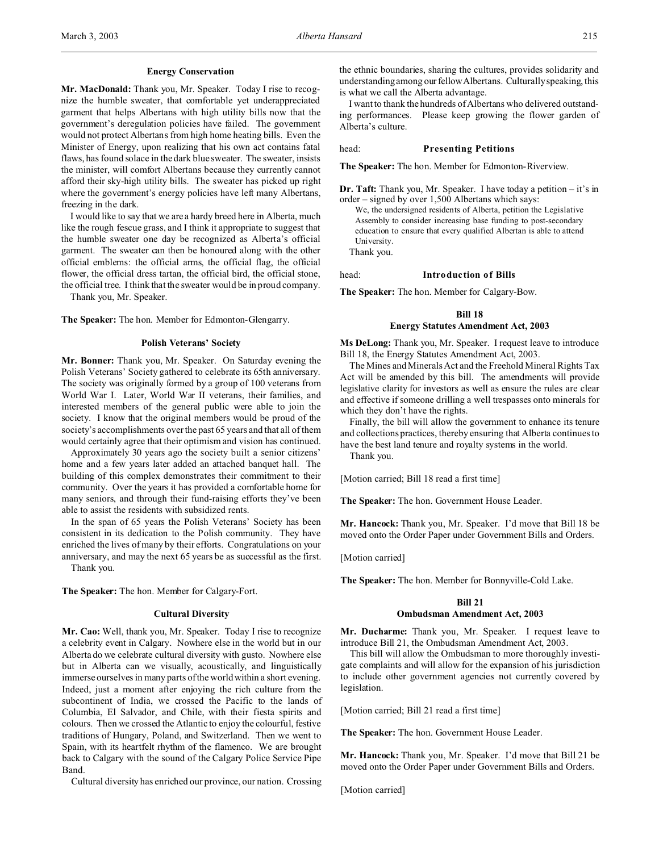**Mr. MacDonald:** Thank you, Mr. Speaker. Today I rise to recognize the humble sweater, that comfortable yet underappreciated garment that helps Albertans with high utility bills now that the government's deregulation policies have failed. The government would not protect Albertans from high home heating bills. Even the Minister of Energy, upon realizing that his own act contains fatal flaws, has found solace in the dark blue sweater. The sweater, insists the minister, will comfort Albertans because they currently cannot afford their sky-high utility bills. The sweater has picked up right where the government's energy policies have left many Albertans, freezing in the dark.

I would like to say that we are a hardy breed here in Alberta, much like the rough fescue grass, and I think it appropriate to suggest that the humble sweater one day be recognized as Alberta's official garment. The sweater can then be honoured along with the other official emblems: the official arms, the official flag, the official flower, the official dress tartan, the official bird, the official stone, the official tree. I think that the sweater would be in proud company.

Thank you, Mr. Speaker.

**The Speaker:** The hon. Member for Edmonton-Glengarry.

#### **Polish Veterans' Society**

**Mr. Bonner:** Thank you, Mr. Speaker. On Saturday evening the Polish Veterans' Society gathered to celebrate its 65th anniversary. The society was originally formed by a group of 100 veterans from World War I. Later, World War II veterans, their families, and interested members of the general public were able to join the society. I know that the original members would be proud of the society's accomplishments over the past 65 years and that all of them would certainly agree that their optimism and vision has continued.

Approximately 30 years ago the society built a senior citizens' home and a few years later added an attached banquet hall. The building of this complex demonstrates their commitment to their community. Over the years it has provided a comfortable home for many seniors, and through their fund-raising efforts they've been able to assist the residents with subsidized rents.

In the span of 65 years the Polish Veterans' Society has been consistent in its dedication to the Polish community. They have enriched the lives of many by their efforts. Congratulations on your anniversary, and may the next 65 years be as successful as the first. Thank you.

**The Speaker:** The hon. Member for Calgary-Fort.

## **Cultural Diversity**

**Mr. Cao:** Well, thank you, Mr. Speaker. Today I rise to recognize a celebrity event in Calgary. Nowhere else in the world but in our Alberta do we celebrate cultural diversity with gusto. Nowhere else but in Alberta can we visually, acoustically, and linguistically immerse ourselves in many parts of the world within a short evening. Indeed, just a moment after enjoying the rich culture from the subcontinent of India, we crossed the Pacific to the lands of Columbia, El Salvador, and Chile, with their fiesta spirits and colours. Then we crossed the Atlantic to enjoy the colourful, festive traditions of Hungary, Poland, and Switzerland. Then we went to Spain, with its heartfelt rhythm of the flamenco. We are brought back to Calgary with the sound of the Calgary Police Service Pipe Band.

Cultural diversity has enriched our province, our nation. Crossing

the ethnic boundaries, sharing the cultures, provides solidarity and understanding among ourfellowAlbertans. Culturally speaking, this is what we call the Alberta advantage.

I want to thank the hundreds of Albertans who delivered outstanding performances. Please keep growing the flower garden of Alberta's culture.

#### head: **Presenting Petitions**

**The Speaker:** The hon. Member for Edmonton-Riverview.

**Dr. Taft:** Thank you, Mr. Speaker. I have today a petition – it's in order – signed by over 1,500 Albertans which says:

We, the undersigned residents of Alberta, petition the Legislative Assembly to consider increasing base funding to post-secondary education to ensure that every qualified Albertan is able to attend University.

Thank you.

head: **Introduction of Bills**

**The Speaker:** The hon. Member for Calgary-Bow.

## **Bill 18**

#### **Energy Statutes Amendment Act, 2003**

**Ms DeLong:** Thank you, Mr. Speaker. I request leave to introduce Bill 18, the Energy Statutes Amendment Act, 2003.

The Mines and Minerals Act and the Freehold Mineral Rights Tax Act will be amended by this bill. The amendments will provide legislative clarity for investors as well as ensure the rules are clear and effective if someone drilling a well trespasses onto minerals for which they don't have the rights.

Finally, the bill will allow the government to enhance its tenure and collections practices, thereby ensuring that Alberta continues to have the best land tenure and royalty systems in the world.

Thank you.

[Motion carried; Bill 18 read a first time]

**The Speaker:** The hon. Government House Leader.

**Mr. Hancock:** Thank you, Mr. Speaker. I'd move that Bill 18 be moved onto the Order Paper under Government Bills and Orders.

[Motion carried]

**The Speaker:** The hon. Member for Bonnyville-Cold Lake.

#### **Bill 21**

# **Ombudsman Amendment Act, 2003**

**Mr. Ducharme:** Thank you, Mr. Speaker. I request leave to introduce Bill 21, the Ombudsman Amendment Act, 2003.

This bill will allow the Ombudsman to more thoroughly investigate complaints and will allow for the expansion of his jurisdiction to include other government agencies not currently covered by legislation.

[Motion carried; Bill 21 read a first time]

**The Speaker:** The hon. Government House Leader.

**Mr. Hancock:** Thank you, Mr. Speaker. I'd move that Bill 21 be moved onto the Order Paper under Government Bills and Orders.

[Motion carried]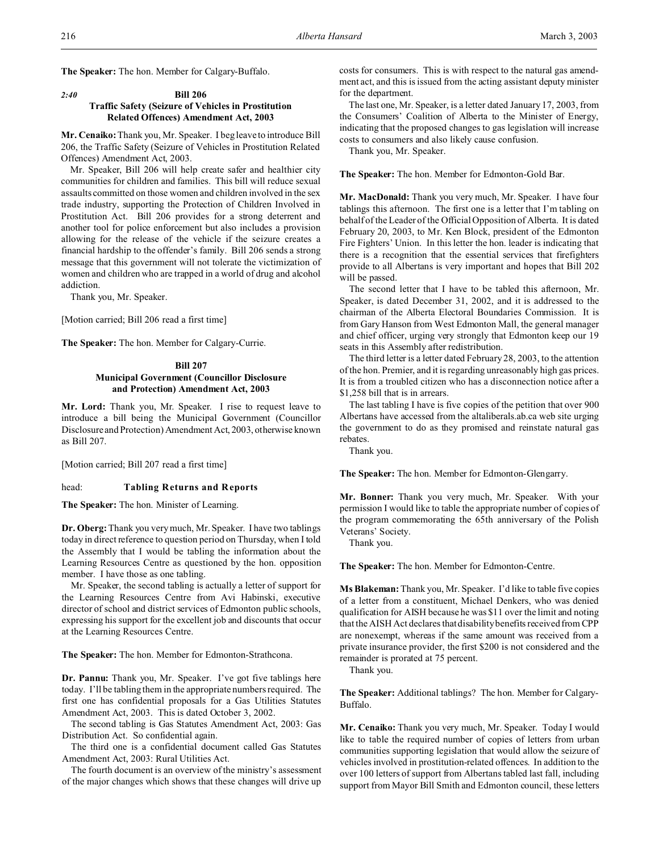**The Speaker:** The hon. Member for Calgary-Buffalo.

# *2:40* **Bill 206 Traffic Safety (Seizure of Vehicles in Prostitution Related Offences) Amendment Act, 2003**

**Mr. Cenaiko:** Thank you, Mr. Speaker. I beg leave to introduce Bill 206, the Traffic Safety (Seizure of Vehicles in Prostitution Related Offences) Amendment Act, 2003.

Mr. Speaker, Bill 206 will help create safer and healthier city communities for children and families. This bill will reduce sexual assaults committed on those women and children involved in the sex trade industry, supporting the Protection of Children Involved in Prostitution Act. Bill 206 provides for a strong deterrent and another tool for police enforcement but also includes a provision allowing for the release of the vehicle if the seizure creates a financial hardship to the offender's family. Bill 206 sends a strong message that this government will not tolerate the victimization of women and children who are trapped in a world of drug and alcohol addiction.

Thank you, Mr. Speaker.

[Motion carried; Bill 206 read a first time]

**The Speaker:** The hon. Member for Calgary-Currie.

# **Bill 207 Municipal Government (Councillor Disclosure and Protection) Amendment Act, 2003**

**Mr. Lord:** Thank you, Mr. Speaker. I rise to request leave to introduce a bill being the Municipal Government (Councillor Disclosure and Protection) Amendment Act, 2003, otherwise known as Bill 207.

[Motion carried; Bill 207 read a first time]

#### head: **Tabling Returns and Reports**

**The Speaker:** The hon. Minister of Learning.

**Dr. Oberg:**Thank you very much, Mr. Speaker. I have two tablings today in direct reference to question period on Thursday, when I told the Assembly that I would be tabling the information about the Learning Resources Centre as questioned by the hon. opposition member. I have those as one tabling.

Mr. Speaker, the second tabling is actually a letter of support for the Learning Resources Centre from Avi Habinski, executive director of school and district services of Edmonton public schools, expressing his support for the excellent job and discounts that occur at the Learning Resources Centre.

**The Speaker:** The hon. Member for Edmonton-Strathcona.

**Dr. Pannu:** Thank you, Mr. Speaker. I've got five tablings here today. I'll be tabling them in the appropriate numbers required. The first one has confidential proposals for a Gas Utilities Statutes Amendment Act, 2003. This is dated October 3, 2002.

The second tabling is Gas Statutes Amendment Act, 2003: Gas Distribution Act. So confidential again.

The third one is a confidential document called Gas Statutes Amendment Act, 2003: Rural Utilities Act.

The fourth document is an overview of the ministry's assessment of the major changes which shows that these changes will drive up costs for consumers. This is with respect to the natural gas amendment act, and this is issued from the acting assistant deputy minister for the department.

The last one, Mr. Speaker, is a letter dated January 17, 2003, from the Consumers' Coalition of Alberta to the Minister of Energy, indicating that the proposed changes to gas legislation will increase costs to consumers and also likely cause confusion.

Thank you, Mr. Speaker.

**The Speaker:** The hon. Member for Edmonton-Gold Bar.

**Mr. MacDonald:** Thank you very much, Mr. Speaker. I have four tablings this afternoon. The first one is a letter that I'm tabling on behalf of the Leader of the Official Opposition of Alberta. It is dated February 20, 2003, to Mr. Ken Block, president of the Edmonton Fire Fighters' Union. In this letter the hon. leader is indicating that there is a recognition that the essential services that firefighters provide to all Albertans is very important and hopes that Bill 202 will be passed.

The second letter that I have to be tabled this afternoon, Mr. Speaker, is dated December 31, 2002, and it is addressed to the chairman of the Alberta Electoral Boundaries Commission. It is from Gary Hanson from West Edmonton Mall, the general manager and chief officer, urging very strongly that Edmonton keep our 19 seats in this Assembly after redistribution.

The third letter is a letter dated February 28, 2003, to the attention of the hon. Premier, and it is regarding unreasonably high gas prices. It is from a troubled citizen who has a disconnection notice after a \$1,258 bill that is in arrears.

The last tabling I have is five copies of the petition that over 900 Albertans have accessed from the altaliberals.ab.ca web site urging the government to do as they promised and reinstate natural gas rebates.

Thank you.

**The Speaker:** The hon. Member for Edmonton-Glengarry.

**Mr. Bonner:** Thank you very much, Mr. Speaker. With your permission I would like to table the appropriate number of copies of the program commemorating the 65th anniversary of the Polish Veterans' Society.

Thank you.

**The Speaker:** The hon. Member for Edmonton-Centre.

**Ms Blakeman:** Thank you, Mr. Speaker. I'd like to table five copies of a letter from a constituent, Michael Denkers, who was denied qualification for AISH because he was \$11 over the limit and noting that the AISH Act declares that disability benefits received from CPP are nonexempt, whereas if the same amount was received from a private insurance provider, the first \$200 is not considered and the remainder is prorated at 75 percent.

Thank you.

**The Speaker:** Additional tablings? The hon. Member for Calgary-Buffalo.

**Mr. Cenaiko:** Thank you very much, Mr. Speaker. Today I would like to table the required number of copies of letters from urban communities supporting legislation that would allow the seizure of vehicles involved in prostitution-related offences. In addition to the over 100 letters of support from Albertans tabled last fall, including support from Mayor Bill Smith and Edmonton council, these letters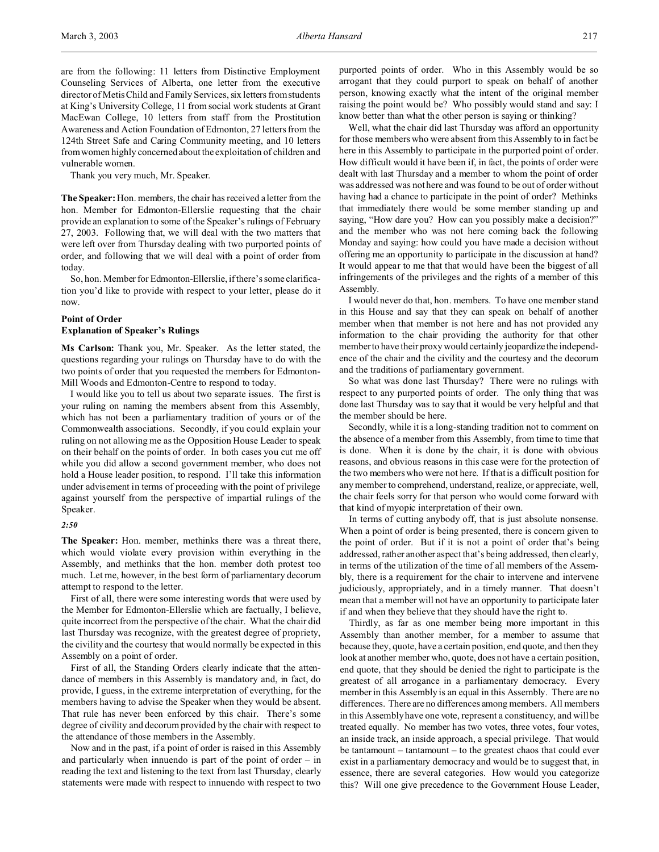are from the following: 11 letters from Distinctive Employment Counseling Services of Alberta, one letter from the executive director of Metis Child and Family Services, six letters from students at King's University College, 11 from social work students at Grant MacEwan College, 10 letters from staff from the Prostitution Awareness and Action Foundation of Edmonton, 27 letters from the 124th Street Safe and Caring Community meeting, and 10 letters from women highly concerned about the exploitation of children and vulnerable women.

Thank you very much, Mr. Speaker.

**The Speaker:** Hon. members, the chair has received a letter from the hon. Member for Edmonton-Ellerslie requesting that the chair provide an explanation to some of the Speaker's rulings of February 27, 2003. Following that, we will deal with the two matters that were left over from Thursday dealing with two purported points of order, and following that we will deal with a point of order from today.

So, hon. Member for Edmonton-Ellerslie, if there's some clarification you'd like to provide with respect to your letter, please do it now.

# **Point of Order Explanation of Speaker's Rulings**

**Ms Carlson:** Thank you, Mr. Speaker. As the letter stated, the questions regarding your rulings on Thursday have to do with the two points of order that you requested the members for Edmonton-Mill Woods and Edmonton-Centre to respond to today.

I would like you to tell us about two separate issues. The first is your ruling on naming the members absent from this Assembly, which has not been a parliamentary tradition of yours or of the Commonwealth associations. Secondly, if you could explain your ruling on not allowing me as the Opposition House Leader to speak on their behalf on the points of order. In both cases you cut me off while you did allow a second government member, who does not hold a House leader position, to respond. I'll take this information under advisement in terms of proceeding with the point of privilege against yourself from the perspective of impartial rulings of the Speaker.

## *2:50*

**The Speaker:** Hon. member, methinks there was a threat there, which would violate every provision within everything in the Assembly, and methinks that the hon. member doth protest too much. Let me, however, in the best form of parliamentary decorum attempt to respond to the letter.

First of all, there were some interesting words that were used by the Member for Edmonton-Ellerslie which are factually, I believe, quite incorrect from the perspective of the chair. What the chair did last Thursday was recognize, with the greatest degree of propriety, the civility and the courtesy that would normally be expected in this Assembly on a point of order.

First of all, the Standing Orders clearly indicate that the attendance of members in this Assembly is mandatory and, in fact, do provide, I guess, in the extreme interpretation of everything, for the members having to advise the Speaker when they would be absent. That rule has never been enforced by this chair. There's some degree of civility and decorum provided by the chair with respect to the attendance of those members in the Assembly.

Now and in the past, if a point of order is raised in this Assembly and particularly when innuendo is part of the point of order – in reading the text and listening to the text from last Thursday, clearly statements were made with respect to innuendo with respect to two purported points of order. Who in this Assembly would be so arrogant that they could purport to speak on behalf of another person, knowing exactly what the intent of the original member raising the point would be? Who possibly would stand and say: I know better than what the other person is saying or thinking?

Well, what the chair did last Thursday was afford an opportunity for those members who were absent from this Assembly to in fact be here in this Assembly to participate in the purported point of order. How difficult would it have been if, in fact, the points of order were dealt with last Thursday and a member to whom the point of order was addressed was not here and was found to be out of order without having had a chance to participate in the point of order? Methinks that immediately there would be some member standing up and saying, "How dare you? How can you possibly make a decision?" and the member who was not here coming back the following Monday and saying: how could you have made a decision without offering me an opportunity to participate in the discussion at hand? It would appear to me that that would have been the biggest of all infringements of the privileges and the rights of a member of this Assembly.

I would never do that, hon. members. To have one member stand in this House and say that they can speak on behalf of another member when that member is not here and has not provided any information to the chair providing the authority for that other member to have their proxy would certainly jeopardize the independence of the chair and the civility and the courtesy and the decorum and the traditions of parliamentary government.

So what was done last Thursday? There were no rulings with respect to any purported points of order. The only thing that was done last Thursday was to say that it would be very helpful and that the member should be here.

Secondly, while it is a long-standing tradition not to comment on the absence of a member from this Assembly, from time to time that is done. When it is done by the chair, it is done with obvious reasons, and obvious reasons in this case were for the protection of the two members who were not here. If that is a difficult position for any member to comprehend, understand, realize, or appreciate, well, the chair feels sorry for that person who would come forward with that kind of myopic interpretation of their own.

In terms of cutting anybody off, that is just absolute nonsense. When a point of order is being presented, there is concern given to the point of order. But if it is not a point of order that's being addressed, rather another aspect that's being addressed, then clearly, in terms of the utilization of the time of all members of the Assembly, there is a requirement for the chair to intervene and intervene judiciously, appropriately, and in a timely manner. That doesn't mean that a member will not have an opportunity to participate later if and when they believe that they should have the right to.

Thirdly, as far as one member being more important in this Assembly than another member, for a member to assume that because they, quote, have a certain position, end quote, and then they look at another member who, quote, does not have a certain position, end quote, that they should be denied the right to participate is the greatest of all arrogance in a parliamentary democracy. Every member in this Assembly is an equal in this Assembly. There are no differences. There are no differences among members. All members in this Assembly have one vote, represent a constituency, and will be treated equally. No member has two votes, three votes, four votes, an inside track, an inside approach, a special privilege. That would be tantamount – tantamount – to the greatest chaos that could ever exist in a parliamentary democracy and would be to suggest that, in essence, there are several categories. How would you categorize this? Will one give precedence to the Government House Leader,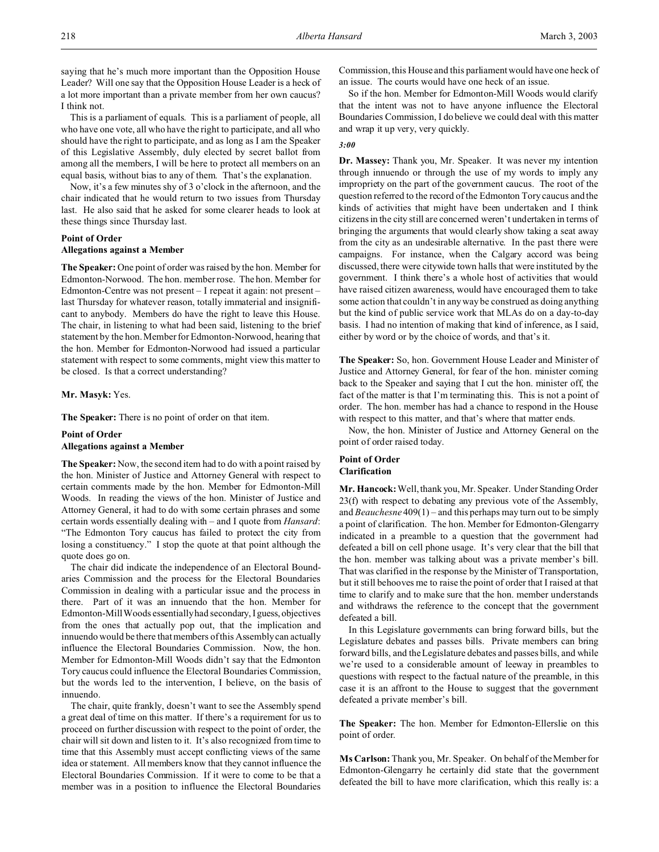saying that he's much more important than the Opposition House Leader? Will one say that the Opposition House Leader is a heck of a lot more important than a private member from her own caucus? I think not.

This is a parliament of equals. This is a parliament of people, all who have one vote, all who have the right to participate, and all who should have the right to participate, and as long as I am the Speaker of this Legislative Assembly, duly elected by secret ballot from among all the members, I will be here to protect all members on an equal basis, without bias to any of them. That's the explanation.

Now, it's a few minutes shy of 3 o'clock in the afternoon, and the chair indicated that he would return to two issues from Thursday last. He also said that he asked for some clearer heads to look at these things since Thursday last.

#### **Point of Order**

#### **Allegations against a Member**

**The Speaker:** One point of order was raised by the hon. Member for Edmonton-Norwood. The hon. member rose. The hon. Member for Edmonton-Centre was not present – I repeat it again: not present – last Thursday for whatever reason, totally immaterial and insignificant to anybody. Members do have the right to leave this House. The chair, in listening to what had been said, listening to the brief statement by the hon. Member for Edmonton-Norwood, hearing that the hon. Member for Edmonton-Norwood had issued a particular statement with respect to some comments, might view this matter to be closed. Is that a correct understanding?

#### **Mr. Masyk:** Yes.

**The Speaker:** There is no point of order on that item.

## **Point of Order Allegations against a Member**

**The Speaker:** Now, the second item had to do with a point raised by the hon. Minister of Justice and Attorney General with respect to certain comments made by the hon. Member for Edmonton-Mill Woods. In reading the views of the hon. Minister of Justice and Attorney General, it had to do with some certain phrases and some certain words essentially dealing with – and I quote from *Hansard*: "The Edmonton Tory caucus has failed to protect the city from losing a constituency." I stop the quote at that point although the quote does go on.

The chair did indicate the independence of an Electoral Boundaries Commission and the process for the Electoral Boundaries Commission in dealing with a particular issue and the process in there. Part of it was an innuendo that the hon. Member for Edmonton-Mill Woods essentially had secondary,I guess, objectives from the ones that actually pop out, that the implication and innuendo would be there that members of this Assembly can actually influence the Electoral Boundaries Commission. Now, the hon. Member for Edmonton-Mill Woods didn't say that the Edmonton Tory caucus could influence the Electoral Boundaries Commission, but the words led to the intervention, I believe, on the basis of innuendo.

The chair, quite frankly, doesn't want to see the Assembly spend a great deal of time on this matter. If there's a requirement for us to proceed on further discussion with respect to the point of order, the chair will sit down and listen to it. It's also recognized from time to time that this Assembly must accept conflicting views of the same idea or statement. All members know that they cannot influence the Electoral Boundaries Commission. If it were to come to be that a member was in a position to influence the Electoral Boundaries

Commission, this House and this parliament would have one heck of an issue. The courts would have one heck of an issue.

So if the hon. Member for Edmonton-Mill Woods would clarify that the intent was not to have anyone influence the Electoral Boundaries Commission, I do believe we could deal with this matter and wrap it up very, very quickly.

#### *3:00*

**Dr. Massey:** Thank you, Mr. Speaker. It was never my intention through innuendo or through the use of my words to imply any impropriety on the part of the government caucus. The root of the question referred to the record of the Edmonton Tory caucus and the kinds of activities that might have been undertaken and I think citizens in the city still are concerned weren't undertaken in terms of bringing the arguments that would clearly show taking a seat away from the city as an undesirable alternative. In the past there were campaigns. For instance, when the Calgary accord was being discussed, there were citywide town halls that were instituted by the government. I think there's a whole host of activities that would have raised citizen awareness, would have encouraged them to take some action that couldn't in any way be construed as doing anything but the kind of public service work that MLAs do on a day-to-day basis. I had no intention of making that kind of inference, as I said, either by word or by the choice of words, and that's it.

**The Speaker:** So, hon. Government House Leader and Minister of Justice and Attorney General, for fear of the hon. minister coming back to the Speaker and saying that I cut the hon. minister off, the fact of the matter is that I'm terminating this. This is not a point of order. The hon. member has had a chance to respond in the House with respect to this matter, and that's where that matter ends.

Now, the hon. Minister of Justice and Attorney General on the point of order raised today.

# **Point of Order Clarification**

**Mr. Hancock:** Well, thank you, Mr. Speaker. Under Standing Order 23(f) with respect to debating any previous vote of the Assembly, and *Beauchesne* 409(1) – and this perhaps may turn out to be simply a point of clarification. The hon. Member for Edmonton-Glengarry indicated in a preamble to a question that the government had defeated a bill on cell phone usage. It's very clear that the bill that the hon. member was talking about was a private member's bill. That was clarified in the response by the Minister of Transportation, but it still behooves me to raise the point of order that I raised at that time to clarify and to make sure that the hon. member understands and withdraws the reference to the concept that the government defeated a bill.

In this Legislature governments can bring forward bills, but the Legislature debates and passes bills. Private members can bring forward bills, and the Legislature debates and passes bills, and while we're used to a considerable amount of leeway in preambles to questions with respect to the factual nature of the preamble, in this case it is an affront to the House to suggest that the government defeated a private member's bill.

**The Speaker:** The hon. Member for Edmonton-Ellerslie on this point of order.

**Ms Carlson:** Thank you, Mr. Speaker. On behalf of the Member for Edmonton-Glengarry he certainly did state that the government defeated the bill to have more clarification, which this really is: a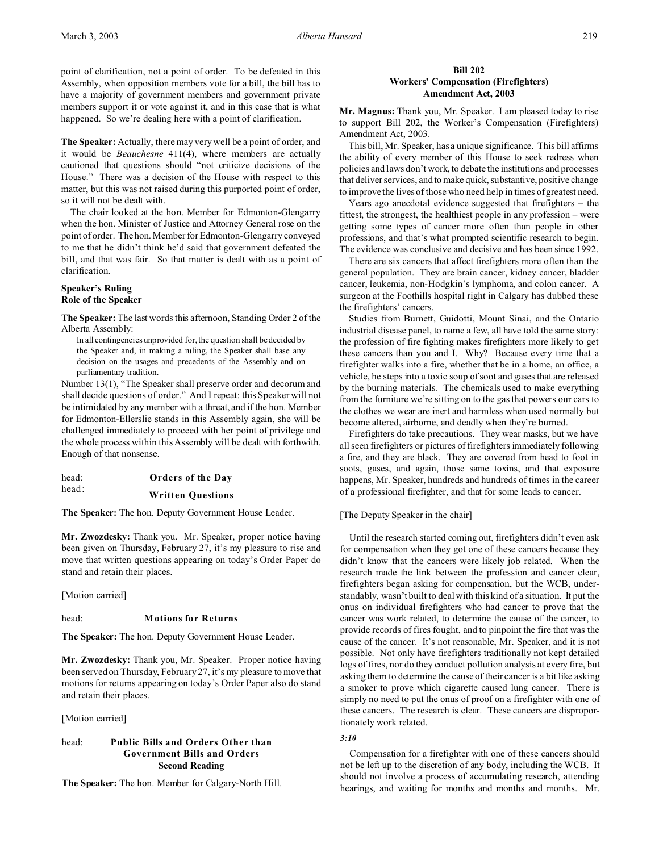point of clarification, not a point of order. To be defeated in this Assembly, when opposition members vote for a bill, the bill has to have a majority of government members and government private members support it or vote against it, and in this case that is what happened. So we're dealing here with a point of clarification.

**The Speaker:** Actually, there may very well be a point of order, and it would be *Beauchesne* 411(4), where members are actually cautioned that questions should "not criticize decisions of the House." There was a decision of the House with respect to this matter, but this was not raised during this purported point of order, so it will not be dealt with.

The chair looked at the hon. Member for Edmonton-Glengarry when the hon. Minister of Justice and Attorney General rose on the point of order. The hon. Member for Edmonton-Glengarry conveyed to me that he didn't think he'd said that government defeated the bill, and that was fair. So that matter is dealt with as a point of clarification.

# **Speaker's Ruling Role of the Speaker**

**The Speaker:** The last words this afternoon, Standing Order 2 of the Alberta Assembly:

In all contingencies unprovided for, the question shall be decided by the Speaker and, in making a ruling, the Speaker shall base any decision on the usages and precedents of the Assembly and on parliamentary tradition.

Number 13(1), "The Speaker shall preserve order and decorum and shall decide questions of order." And I repeat: this Speaker will not be intimidated by any member with a threat, and if the hon. Member for Edmonton-Ellerslie stands in this Assembly again, she will be challenged immediately to proceed with her point of privilege and the whole process within this Assembly will be dealt with forthwith. Enough of that nonsense.

head: **Orders of the Day**

# head: **Written Questions**

**The Speaker:** The hon. Deputy Government House Leader.

**Mr. Zwozdesky:** Thank you. Mr. Speaker, proper notice having been given on Thursday, February 27, it's my pleasure to rise and move that written questions appearing on today's Order Paper do stand and retain their places.

[Motion carried]

#### head: **Motions for Returns**

**The Speaker:** The hon. Deputy Government House Leader.

**Mr. Zwozdesky:** Thank you, Mr. Speaker. Proper notice having been served on Thursday, February 27, it's my pleasure to move that motions for returns appearing on today's Order Paper also do stand and retain their places.

[Motion carried]

# head: **Public Bills and Orders Other than Government Bills and Orders Second Reading**

**The Speaker:** The hon. Member for Calgary-North Hill.

## **Bill 202 Workers' Compensation (Firefighters) Amendment Act, 2003**

**Mr. Magnus:** Thank you, Mr. Speaker. I am pleased today to rise to support Bill 202, the Worker's Compensation (Firefighters) Amendment Act, 2003.

This bill, Mr. Speaker, has a unique significance. This bill affirms the ability of every member of this House to seek redress when policies and laws don't work, to debate the institutions and processes that deliver services, and to make quick, substantive, positive change to improve the lives of those who need help in times of greatest need.

Years ago anecdotal evidence suggested that firefighters – the fittest, the strongest, the healthiest people in any profession – were getting some types of cancer more often than people in other professions, and that's what prompted scientific research to begin. The evidence was conclusive and decisive and has been since 1992.

There are six cancers that affect firefighters more often than the general population. They are brain cancer, kidney cancer, bladder cancer, leukemia, non-Hodgkin's lymphoma, and colon cancer. A surgeon at the Foothills hospital right in Calgary has dubbed these the firefighters' cancers.

Studies from Burnett, Guidotti, Mount Sinai, and the Ontario industrial disease panel, to name a few, all have told the same story: the profession of fire fighting makes firefighters more likely to get these cancers than you and I. Why? Because every time that a firefighter walks into a fire, whether that be in a home, an office, a vehicle, he steps into a toxic soup of soot and gases that are released by the burning materials. The chemicals used to make everything from the furniture we're sitting on to the gas that powers our cars to the clothes we wear are inert and harmless when used normally but become altered, airborne, and deadly when they're burned.

Firefighters do take precautions. They wear masks, but we have all seen firefighters or pictures of firefighters immediately following a fire, and they are black. They are covered from head to foot in soots, gases, and again, those same toxins, and that exposure happens, Mr. Speaker, hundreds and hundreds of times in the career of a professional firefighter, and that for some leads to cancer.

## [The Deputy Speaker in the chair]

Until the research started coming out, firefighters didn't even ask for compensation when they got one of these cancers because they didn't know that the cancers were likely job related. When the research made the link between the profession and cancer clear, firefighters began asking for compensation, but the WCB, understandably, wasn't built to deal with this kind of a situation. It put the onus on individual firefighters who had cancer to prove that the cancer was work related, to determine the cause of the cancer, to provide records of fires fought, and to pinpoint the fire that was the cause of the cancer. It's not reasonable, Mr. Speaker, and it is not possible. Not only have firefighters traditionally not kept detailed logs of fires, nor do they conduct pollution analysis at every fire, but asking them to determine the cause of their cancer is a bit like asking a smoker to prove which cigarette caused lung cancer. There is simply no need to put the onus of proof on a firefighter with one of these cancers. The research is clear. These cancers are disproportionately work related.

## *3:10*

Compensation for a firefighter with one of these cancers should not be left up to the discretion of any body, including the WCB. It should not involve a process of accumulating research, attending hearings, and waiting for months and months and months. Mr.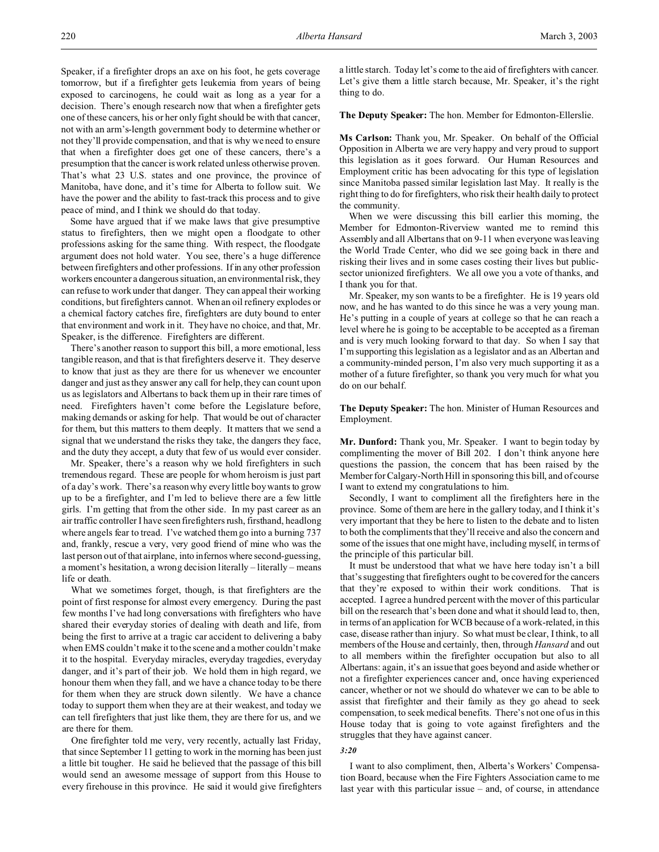Speaker, if a firefighter drops an axe on his foot, he gets coverage tomorrow, but if a firefighter gets leukemia from years of being exposed to carcinogens, he could wait as long as a year for a decision. There's enough research now that when a firefighter gets one of these cancers, his or her only fight should be with that cancer, not with an arm's-length government body to determine whether or not they'll provide compensation, and that is why we need to ensure that when a firefighter does get one of these cancers, there's a presumption that the cancer is work related unless otherwise proven. That's what 23 U.S. states and one province, the province of Manitoba, have done, and it's time for Alberta to follow suit. We have the power and the ability to fast-track this process and to give peace of mind, and I think we should do that today.

Some have argued that if we make laws that give presumptive status to firefighters, then we might open a floodgate to other professions asking for the same thing. With respect, the floodgate argument does not hold water. You see, there's a huge difference between firefighters and other professions. If in any other profession workers encounter a dangerous situation, an environmental risk, they can refuse to work under that danger. They can appeal their working conditions, but firefighters cannot. When an oil refinery explodes or a chemical factory catches fire, firefighters are duty bound to enter that environment and work in it. They have no choice, and that, Mr. Speaker, is the difference. Firefighters are different.

There's another reason to support this bill, a more emotional, less tangible reason, and that is that firefighters deserve it. They deserve to know that just as they are there for us whenever we encounter danger and just as they answer any call for help, they can count upon us as legislators and Albertans to back them up in their rare times of need. Firefighters haven't come before the Legislature before, making demands or asking for help. That would be out of character for them, but this matters to them deeply. It matters that we send a signal that we understand the risks they take, the dangers they face, and the duty they accept, a duty that few of us would ever consider.

Mr. Speaker, there's a reason why we hold firefighters in such tremendous regard. These are people for whom heroism is just part of a day's work. There's a reason why every little boy wants to grow up to be a firefighter, and I'm led to believe there are a few little girls. I'm getting that from the other side. In my past career as an air traffic controller I have seen firefighters rush, firsthand, headlong where angels fear to tread. I've watched them go into a burning 737 and, frankly, rescue a very, very good friend of mine who was the last person out of that airplane, into infernos where second-guessing, a moment's hesitation, a wrong decision literally – literally – means life or death.

What we sometimes forget, though, is that firefighters are the point of first response for almost every emergency. During the past few months I've had long conversations with firefighters who have shared their everyday stories of dealing with death and life, from being the first to arrive at a tragic car accident to delivering a baby when EMS couldn't make it to the scene and a mother couldn't make it to the hospital. Everyday miracles, everyday tragedies, everyday danger, and it's part of their job. We hold them in high regard, we honour them when they fall, and we have a chance today to be there for them when they are struck down silently. We have a chance today to support them when they are at their weakest, and today we can tell firefighters that just like them, they are there for us, and we are there for them.

One firefighter told me very, very recently, actually last Friday, that since September 11 getting to work in the morning has been just a little bit tougher. He said he believed that the passage of this bill would send an awesome message of support from this House to every firehouse in this province. He said it would give firefighters a little starch. Today let's come to the aid of firefighters with cancer. Let's give them a little starch because, Mr. Speaker, it's the right thing to do.

**The Deputy Speaker:** The hon. Member for Edmonton-Ellerslie.

**Ms Carlson:** Thank you, Mr. Speaker. On behalf of the Official Opposition in Alberta we are very happy and very proud to support this legislation as it goes forward. Our Human Resources and Employment critic has been advocating for this type of legislation since Manitoba passed similar legislation last May. It really is the right thing to do for firefighters, who risk their health daily to protect the community.

When we were discussing this bill earlier this morning, the Member for Edmonton-Riverview wanted me to remind this Assembly and all Albertans that on 9-11 when everyone was leaving the World Trade Center, who did we see going back in there and risking their lives and in some cases costing their lives but publicsector unionized firefighters. We all owe you a vote of thanks, and I thank you for that.

Mr. Speaker, my son wants to be a firefighter. He is 19 years old now, and he has wanted to do this since he was a very young man. He's putting in a couple of years at college so that he can reach a level where he is going to be acceptable to be accepted as a fireman and is very much looking forward to that day. So when I say that I'm supporting this legislation as a legislator and as an Albertan and a community-minded person, I'm also very much supporting it as a mother of a future firefighter, so thank you very much for what you do on our behalf.

**The Deputy Speaker:** The hon. Minister of Human Resources and Employment.

**Mr. Dunford:** Thank you, Mr. Speaker. I want to begin today by complimenting the mover of Bill 202. I don't think anyone here questions the passion, the concern that has been raised by the Member for Calgary-North Hill in sponsoring this bill, and of course I want to extend my congratulations to him.

Secondly, I want to compliment all the firefighters here in the province. Some of them are here in the gallery today, and I think it's very important that they be here to listen to the debate and to listen to both the compliments that they'll receive and also the concern and some of the issues that one might have, including myself, in terms of the principle of this particular bill.

It must be understood that what we have here today isn't a bill that's suggesting that firefighters ought to be covered for the cancers that they're exposed to within their work conditions. That is accepted. I agree a hundred percent with the mover of this particular bill on the research that's been done and what it should lead to, then, in terms of an application for WCB because of a work-related, in this case, disease rather than injury. So what must be clear, I think, to all members of the House and certainly, then, through *Hansard* and out to all members within the firefighter occupation but also to all Albertans: again, it's an issue that goes beyond and aside whether or not a firefighter experiences cancer and, once having experienced cancer, whether or not we should do whatever we can to be able to assist that firefighter and their family as they go ahead to seek compensation, to seek medical benefits. There's not one of us in this House today that is going to vote against firefighters and the struggles that they have against cancer.

#### *3:20*

I want to also compliment, then, Alberta's Workers' Compensation Board, because when the Fire Fighters Association came to me last year with this particular issue – and, of course, in attendance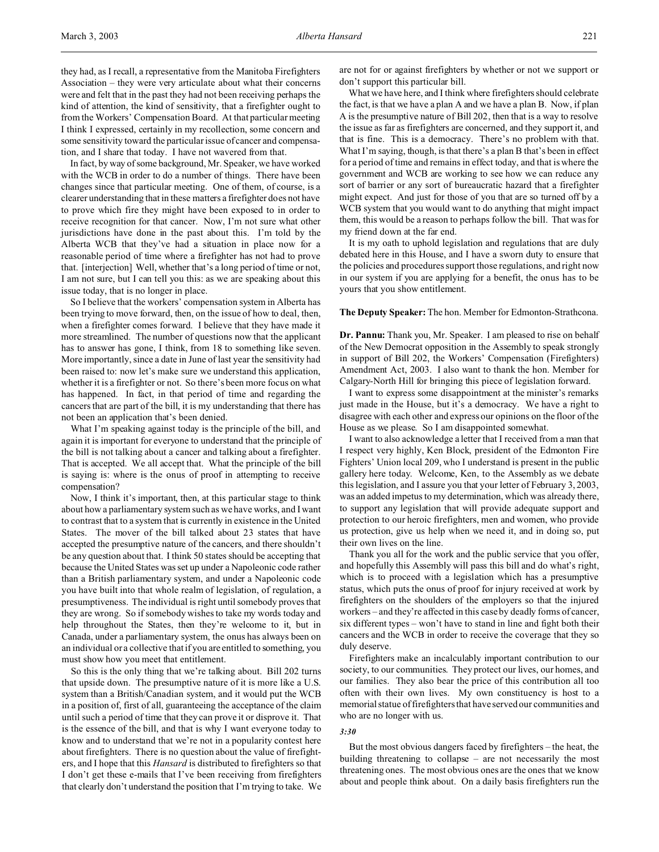they had, as I recall, a representative from the Manitoba Firefighters Association – they were very articulate about what their concerns were and felt that in the past they had not been receiving perhaps the kind of attention, the kind of sensitivity, that a firefighter ought to from the Workers' Compensation Board. At that particular meeting I think I expressed, certainly in my recollection, some concern and some sensitivity toward the particular issue of cancer and compensation, and I share that today. I have not wavered from that.

In fact, by way of some background, Mr. Speaker, we have worked with the WCB in order to do a number of things. There have been changes since that particular meeting. One of them, of course, is a clearer understanding that in these matters a firefighter does not have to prove which fire they might have been exposed to in order to receive recognition for that cancer. Now, I'm not sure what other jurisdictions have done in the past about this. I'm told by the Alberta WCB that they've had a situation in place now for a reasonable period of time where a firefighter has not had to prove that. [interjection] Well, whether that's a long period of time or not, I am not sure, but I can tell you this: as we are speaking about this issue today, that is no longer in place.

So I believe that the workers' compensation system in Alberta has been trying to move forward, then, on the issue of how to deal, then, when a firefighter comes forward. I believe that they have made it more streamlined. The number of questions now that the applicant has to answer has gone, I think, from 18 to something like seven. More importantly, since a date in June of last year the sensitivity had been raised to: now let's make sure we understand this application, whether it is a firefighter or not. So there's been more focus on what has happened. In fact, in that period of time and regarding the cancers that are part of the bill, it is my understanding that there has not been an application that's been denied.

What I'm speaking against today is the principle of the bill, and again it is important for everyone to understand that the principle of the bill is not talking about a cancer and talking about a firefighter. That is accepted. We all accept that. What the principle of the bill is saying is: where is the onus of proof in attempting to receive compensation?

Now, I think it's important, then, at this particular stage to think about how a parliamentary system such as we have works, and I want to contrast that to a system that is currently in existence in the United States. The mover of the bill talked about 23 states that have accepted the presumptive nature of the cancers, and there shouldn't be any question about that. I think 50 states should be accepting that because the United States was set up under a Napoleonic code rather than a British parliamentary system, and under a Napoleonic code you have built into that whole realm of legislation, of regulation, a presumptiveness. The individual is right until somebody proves that they are wrong. So if somebody wishes to take my words today and help throughout the States, then they're welcome to it, but in Canada, under a parliamentary system, the onus has always been on an individual or a collective that if you are entitled to something, you must show how you meet that entitlement.

So this is the only thing that we're talking about. Bill 202 turns that upside down. The presumptive nature of it is more like a U.S. system than a British/Canadian system, and it would put the WCB in a position of, first of all, guaranteeing the acceptance of the claim until such a period of time that they can prove it or disprove it. That is the essence of the bill, and that is why I want everyone today to know and to understand that we're not in a popularity contest here about firefighters. There is no question about the value of firefighters, and I hope that this *Hansard* is distributed to firefighters so that I don't get these e-mails that I've been receiving from firefighters that clearly don't understand the position that I'm trying to take. We

are not for or against firefighters by whether or not we support or don't support this particular bill.

What we have here, and I think where firefighters should celebrate the fact, is that we have a plan A and we have a plan B. Now, if plan A is the presumptive nature of Bill 202, then that is a way to resolve the issue as far as firefighters are concerned, and they support it, and that is fine. This is a democracy. There's no problem with that. What I'm saying, though, is that there's a plan B that's been in effect for a period of time and remains in effect today, and that is where the government and WCB are working to see how we can reduce any sort of barrier or any sort of bureaucratic hazard that a firefighter might expect. And just for those of you that are so turned off by a WCB system that you would want to do anything that might impact them, this would be a reason to perhaps follow the bill. That was for my friend down at the far end.

It is my oath to uphold legislation and regulations that are duly debated here in this House, and I have a sworn duty to ensure that the policies and procedures support those regulations, and right now in our system if you are applying for a benefit, the onus has to be yours that you show entitlement.

#### **The Deputy Speaker:** The hon. Member for Edmonton-Strathcona.

**Dr. Pannu:** Thank you, Mr. Speaker. I am pleased to rise on behalf of the New Democrat opposition in the Assembly to speak strongly in support of Bill 202, the Workers' Compensation (Firefighters) Amendment Act, 2003. I also want to thank the hon. Member for Calgary-North Hill for bringing this piece of legislation forward.

I want to express some disappointment at the minister's remarks just made in the House, but it's a democracy. We have a right to disagree with each other and express our opinions on the floor of the House as we please. So I am disappointed somewhat.

I want to also acknowledge a letter that I received from a man that I respect very highly, Ken Block, president of the Edmonton Fire Fighters' Union local 209, who I understand is present in the public gallery here today. Welcome, Ken, to the Assembly as we debate this legislation, and I assure you that your letter of February 3, 2003, was an added impetus to my determination, which was already there, to support any legislation that will provide adequate support and protection to our heroic firefighters, men and women, who provide us protection, give us help when we need it, and in doing so, put their own lives on the line.

Thank you all for the work and the public service that you offer, and hopefully this Assembly will pass this bill and do what's right, which is to proceed with a legislation which has a presumptive status, which puts the onus of proof for injury received at work by firefighters on the shoulders of the employers so that the injured workers – and they're affected in this case by deadly forms of cancer, six different types – won't have to stand in line and fight both their cancers and the WCB in order to receive the coverage that they so duly deserve.

Firefighters make an incalculably important contribution to our society, to our communities. They protect our lives, our homes, and our families. They also bear the price of this contribution all too often with their own lives. My own constituency is host to a memorial statue of firefighters that have served our communities and who are no longer with us.

#### *3:30*

But the most obvious dangers faced by firefighters – the heat, the building threatening to collapse – are not necessarily the most threatening ones. The most obvious ones are the ones that we know about and people think about. On a daily basis firefighters run the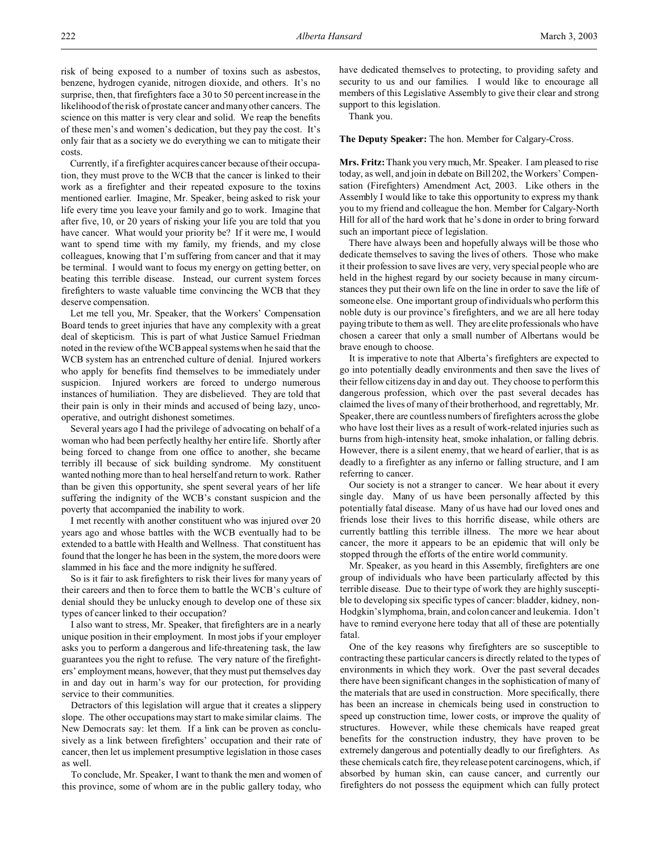risk of being exposed to a number of toxins such as asbestos, benzene, hydrogen cyanide, nitrogen dioxide, and others. It's no surprise, then, that firefighters face a 30 to 50 percent increase in the likelihood of the risk of prostate cancer and many other cancers. The science on this matter is very clear and solid. We reap the benefits of these men's and women's dedication, but they pay the cost. It's only fair that as a society we do everything we can to mitigate their costs.

Currently, if a firefighter acquires cancer because of their occupation, they must prove to the WCB that the cancer is linked to their work as a firefighter and their repeated exposure to the toxins mentioned earlier. Imagine, Mr. Speaker, being asked to risk your life every time you leave your family and go to work. Imagine that after five, 10, or 20 years of risking your life you are told that you have cancer. What would your priority be? If it were me, I would want to spend time with my family, my friends, and my close colleagues, knowing that I'm suffering from cancer and that it may be terminal. I would want to focus my energy on getting better, on beating this terrible disease. Instead, our current system forces firefighters to waste valuable time convincing the WCB that they deserve compensation.

Let me tell you, Mr. Speaker, that the Workers' Compensation Board tends to greet injuries that have any complexity with a great deal of skepticism. This is part of what Justice Samuel Friedman noted in the review of the WCB appeal systems when he said that the WCB system has an entrenched culture of denial. Injured workers who apply for benefits find themselves to be immediately under suspicion. Injured workers are forced to undergo numerous instances of humiliation. They are disbelieved. They are told that their pain is only in their minds and accused of being lazy, uncooperative, and outright dishonest sometimes.

Several years ago I had the privilege of advocating on behalf of a woman who had been perfectly healthy her entire life. Shortly after being forced to change from one office to another, she became terribly ill because of sick building syndrome. My constituent wanted nothing more than to heal herself and return to work. Rather than be given this opportunity, she spent several years of her life suffering the indignity of the WCB's constant suspicion and the poverty that accompanied the inability to work.

I met recently with another constituent who was injured over 20 years ago and whose battles with the WCB eventually had to be extended to a battle with Health and Wellness. That constituent has found that the longer he has been in the system, the more doors were slammed in his face and the more indignity he suffered.

So is it fair to ask firefighters to risk their lives for many years of their careers and then to force them to battle the WCB's culture of denial should they be unlucky enough to develop one of these six types of cancer linked to their occupation?

I also want to stress, Mr. Speaker, that firefighters are in a nearly unique position in their employment. In most jobs if your employer asks you to perform a dangerous and life-threatening task, the law guarantees you the right to refuse. The very nature of the firefighters' employment means, however, that they must put themselves day in and day out in harm's way for our protection, for providing service to their communities.

Detractors of this legislation will argue that it creates a slippery slope. The other occupations may start to make similar claims. The New Democrats say: let them. If a link can be proven as conclusively as a link between firefighters' occupation and their rate of cancer, then let us implement presumptive legislation in those cases as well.

To conclude, Mr. Speaker, I want to thank the men and women of this province, some of whom are in the public gallery today, who

have dedicated themselves to protecting, to providing safety and security to us and our families. I would like to encourage all members of this Legislative Assembly to give their clear and strong support to this legislation.

Thank you.

## **The Deputy Speaker:** The hon. Member for Calgary-Cross.

**Mrs. Fritz:** Thank you very much, Mr. Speaker. I am pleased to rise today, as well, and join in debate on Bill 202, the Workers' Compensation (Firefighters) Amendment Act, 2003. Like others in the Assembly I would like to take this opportunity to express my thank you to my friend and colleague the hon. Member for Calgary-North Hill for all of the hard work that he's done in order to bring forward such an important piece of legislation.

There have always been and hopefully always will be those who dedicate themselves to saving the lives of others. Those who make it their profession to save lives are very, very special people who are held in the highest regard by our society because in many circumstances they put their own life on the line in order to save the life of someone else. One important group of individuals who perform this noble duty is our province's firefighters, and we are all here today paying tribute to them as well. They are elite professionals who have chosen a career that only a small number of Albertans would be brave enough to choose.

It is imperative to note that Alberta's firefighters are expected to go into potentially deadly environments and then save the lives of their fellow citizens day in and day out. They choose to perform this dangerous profession, which over the past several decades has claimed the lives of many of their brotherhood, and regrettably, Mr. Speaker, there are countless numbers of firefighters across the globe who have lost their lives as a result of work-related injuries such as burns from high-intensity heat, smoke inhalation, or falling debris. However, there is a silent enemy, that we heard of earlier, that is as deadly to a firefighter as any inferno or falling structure, and I am referring to cancer.

Our society is not a stranger to cancer. We hear about it every single day. Many of us have been personally affected by this potentially fatal disease. Many of us have had our loved ones and friends lose their lives to this horrific disease, while others are currently battling this terrible illness. The more we hear about cancer, the more it appears to be an epidemic that will only be stopped through the efforts of the entire world community.

Mr. Speaker, as you heard in this Assembly, firefighters are one group of individuals who have been particularly affected by this terrible disease. Due to their type of work they are highly susceptible to developing six specific types of cancer: bladder, kidney, non-Hodgkin's lymphoma, brain, and colon cancer and leukemia. I don't have to remind everyone here today that all of these are potentially fatal.

One of the key reasons why firefighters are so susceptible to contracting these particular cancers is directly related to the types of environments in which they work. Over the past several decades there have been significant changes in the sophistication of many of the materials that are used in construction. More specifically, there has been an increase in chemicals being used in construction to speed up construction time, lower costs, or improve the quality of structures. However, while these chemicals have reaped great benefits for the construction industry, they have proven to be extremely dangerous and potentially deadly to our firefighters. As these chemicals catch fire, they release potent carcinogens, which, if absorbed by human skin, can cause cancer, and currently our firefighters do not possess the equipment which can fully protect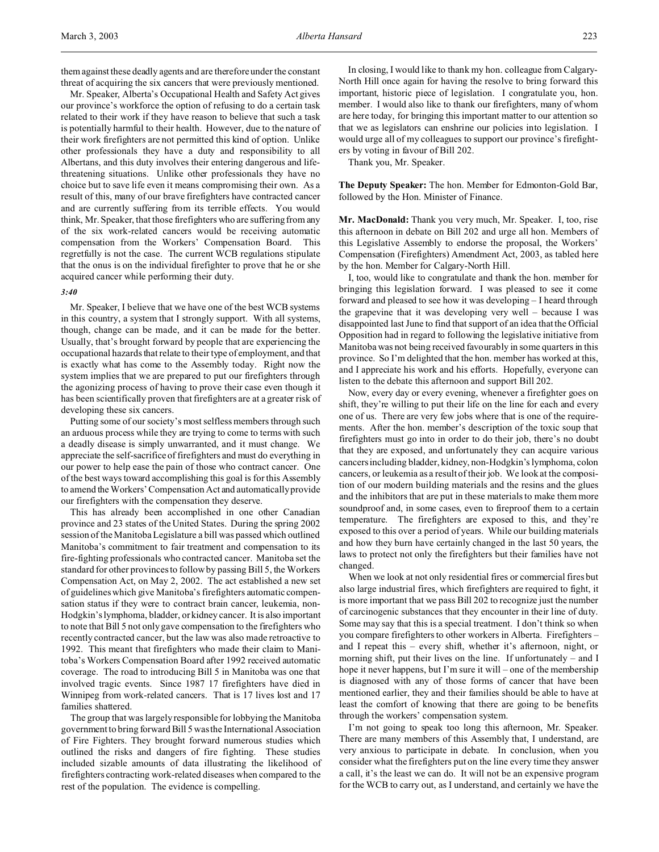them against these deadly agents and are therefore under the constant threat of acquiring the six cancers that were previously mentioned.

Mr. Speaker, Alberta's Occupational Health and Safety Act gives our province's workforce the option of refusing to do a certain task related to their work if they have reason to believe that such a task is potentially harmful to their health. However, due to the nature of their work firefighters are not permitted this kind of option. Unlike other professionals they have a duty and responsibility to all Albertans, and this duty involves their entering dangerous and lifethreatening situations. Unlike other professionals they have no choice but to save life even it means compromising their own. As a result of this, many of our brave firefighters have contracted cancer and are currently suffering from its terrible effects. You would think, Mr. Speaker, that those firefighters who are suffering from any of the six work-related cancers would be receiving automatic compensation from the Workers' Compensation Board. This regretfully is not the case. The current WCB regulations stipulate that the onus is on the individual firefighter to prove that he or she acquired cancer while performing their duty.

#### *3:40*

Mr. Speaker, I believe that we have one of the best WCB systems in this country, a system that I strongly support. With all systems, though, change can be made, and it can be made for the better. Usually, that's brought forward by people that are experiencing the occupational hazards that relate to their type of employment, and that is exactly what has come to the Assembly today. Right now the system implies that we are prepared to put our firefighters through the agonizing process of having to prove their case even though it has been scientifically proven that firefighters are at a greater risk of developing these six cancers.

Putting some of our society's most selfless members through such an arduous process while they are trying to come to terms with such a deadly disease is simply unwarranted, and it must change. We appreciate the self-sacrifice of firefighters and must do everything in our power to help ease the pain of those who contract cancer. One of the best ways toward accomplishing this goal is for this Assembly to amend the Workers' Compensation Act and automatically provide our firefighters with the compensation they deserve.

This has already been accomplished in one other Canadian province and 23 states of the United States. During the spring 2002 session of the Manitoba Legislature a bill was passed which outlined Manitoba's commitment to fair treatment and compensation to its fire-fighting professionals who contracted cancer. Manitoba set the standard for other provinces to follow by passing Bill 5, the Workers Compensation Act, on May 2, 2002. The act established a new set of guidelines which give Manitoba's firefighters automatic compensation status if they were to contract brain cancer, leukemia, non-Hodgkin's lymphoma, bladder, or kidney cancer. It is also important to note that Bill 5 not only gave compensation to the firefighters who recently contracted cancer, but the law was also made retroactive to 1992. This meant that firefighters who made their claim to Manitoba's Workers Compensation Board after 1992 received automatic coverage. The road to introducing Bill 5 in Manitoba was one that involved tragic events. Since 1987 17 firefighters have died in Winnipeg from work-related cancers. That is 17 lives lost and 17 families shattered.

The group that was largely responsible for lobbying the Manitoba government to bring forward Bill 5 was the International Association of Fire Fighters. They brought forward numerous studies which outlined the risks and dangers of fire fighting. These studies included sizable amounts of data illustrating the likelihood of firefighters contracting work-related diseases when compared to the rest of the population. The evidence is compelling.

In closing, I would like to thank my hon. colleague from Calgary-North Hill once again for having the resolve to bring forward this important, historic piece of legislation. I congratulate you, hon. member. I would also like to thank our firefighters, many of whom are here today, for bringing this important matter to our attention so that we as legislators can enshrine our policies into legislation. I would urge all of my colleagues to support our province's firefighters by voting in favour of Bill 202.

Thank you, Mr. Speaker.

**The Deputy Speaker:** The hon. Member for Edmonton-Gold Bar, followed by the Hon. Minister of Finance.

**Mr. MacDonald:** Thank you very much, Mr. Speaker. I, too, rise this afternoon in debate on Bill 202 and urge all hon. Members of this Legislative Assembly to endorse the proposal, the Workers' Compensation (Firefighters) Amendment Act, 2003, as tabled here by the hon. Member for Calgary-North Hill.

I, too, would like to congratulate and thank the hon. member for bringing this legislation forward. I was pleased to see it come forward and pleased to see how it was developing – I heard through the grapevine that it was developing very well – because I was disappointed last June to find that support of an idea that the Official Opposition had in regard to following the legislative initiative from Manitoba was not being received favourably in some quarters in this province. So I'm delighted that the hon. member has worked at this, and I appreciate his work and his efforts. Hopefully, everyone can listen to the debate this afternoon and support Bill 202.

Now, every day or every evening, whenever a firefighter goes on shift, they're willing to put their life on the line for each and every one of us. There are very few jobs where that is one of the requirements. After the hon. member's description of the toxic soup that firefighters must go into in order to do their job, there's no doubt that they are exposed, and unfortunately they can acquire various cancers including bladder, kidney, non-Hodgkin's lymphoma, colon cancers, or leukemia as a result of their job. We look at the composition of our modern building materials and the resins and the glues and the inhibitors that are put in these materials to make them more soundproof and, in some cases, even to fireproof them to a certain temperature. The firefighters are exposed to this, and they're exposed to this over a period of years. While our building materials and how they burn have certainly changed in the last 50 years, the laws to protect not only the firefighters but their families have not changed.

When we look at not only residential fires or commercial fires but also large industrial fires, which firefighters are required to fight, it is more important that we pass Bill 202 to recognize just the number of carcinogenic substances that they encounter in their line of duty. Some may say that this is a special treatment. I don't think so when you compare firefighters to other workers in Alberta. Firefighters – and I repeat this – every shift, whether it's afternoon, night, or morning shift, put their lives on the line. If unfortunately  $-$  and I hope it never happens, but I'm sure it will – one of the membership is diagnosed with any of those forms of cancer that have been mentioned earlier, they and their families should be able to have at least the comfort of knowing that there are going to be benefits through the workers' compensation system.

I'm not going to speak too long this afternoon, Mr. Speaker. There are many members of this Assembly that, I understand, are very anxious to participate in debate. In conclusion, when you consider what the firefighters put on the line every time they answer a call, it's the least we can do. It will not be an expensive program for the WCB to carry out, as I understand, and certainly we have the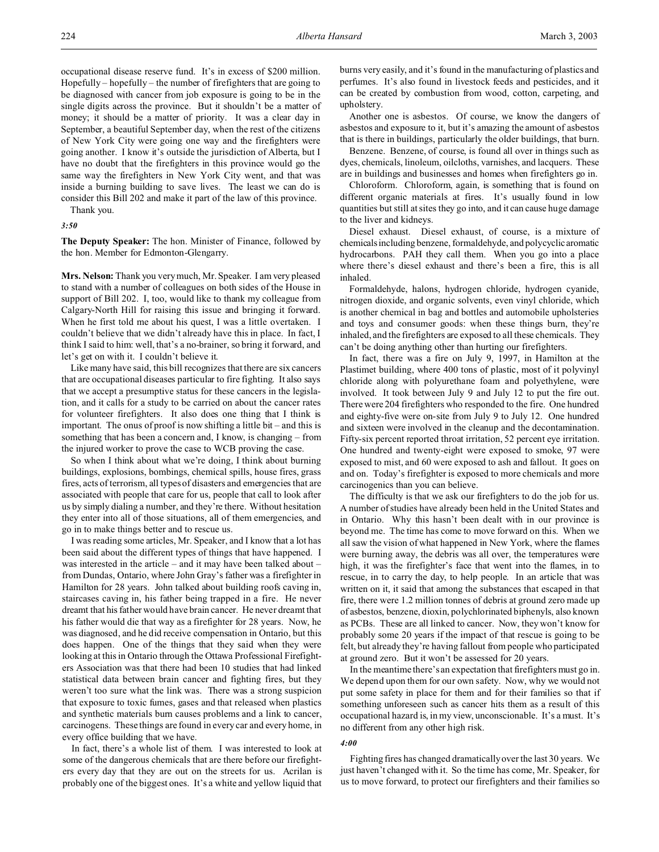occupational disease reserve fund. It's in excess of \$200 million. Hopefully – hopefully – the number of firefighters that are going to be diagnosed with cancer from job exposure is going to be in the single digits across the province. But it shouldn't be a matter of money; it should be a matter of priority. It was a clear day in September, a beautiful September day, when the rest of the citizens of New York City were going one way and the firefighters were going another. I know it's outside the jurisdiction of Alberta, but I have no doubt that the firefighters in this province would go the same way the firefighters in New York City went, and that was inside a burning building to save lives. The least we can do is consider this Bill 202 and make it part of the law of this province.

Thank you.

*3:50*

**The Deputy Speaker:** The hon. Minister of Finance, followed by the hon. Member for Edmonton-Glengarry.

**Mrs. Nelson:** Thank you very much, Mr. Speaker. I am very pleased to stand with a number of colleagues on both sides of the House in support of Bill 202. I, too, would like to thank my colleague from Calgary-North Hill for raising this issue and bringing it forward. When he first told me about his quest, I was a little overtaken. I couldn't believe that we didn't already have this in place. In fact, I think I said to him: well, that's a no-brainer, so bring it forward, and let's get on with it. I couldn't believe it.

Like many have said, this bill recognizes that there are six cancers that are occupational diseases particular to fire fighting. It also says that we accept a presumptive status for these cancers in the legislation, and it calls for a study to be carried on about the cancer rates for volunteer firefighters. It also does one thing that I think is important. The onus of proof is now shifting a little bit – and this is something that has been a concern and, I know, is changing – from the injured worker to prove the case to WCB proving the case.

So when I think about what we're doing, I think about burning buildings, explosions, bombings, chemical spills, house fires, grass fires, acts of terrorism, all types of disasters and emergencies that are associated with people that care for us, people that call to look after us by simply dialing a number, and they're there. Without hesitation they enter into all of those situations, all of them emergencies, and go in to make things better and to rescue us.

I was reading some articles, Mr. Speaker, and I know that a lot has been said about the different types of things that have happened. I was interested in the article – and it may have been talked about – from Dundas, Ontario, where John Gray's father was a firefighter in Hamilton for 28 years. John talked about building roofs caving in, staircases caving in, his father being trapped in a fire. He never dreamt that his father would have brain cancer. He never dreamt that his father would die that way as a firefighter for 28 years. Now, he was diagnosed, and he did receive compensation in Ontario, but this does happen. One of the things that they said when they were looking at this in Ontario through the Ottawa Professional Firefighters Association was that there had been 10 studies that had linked statistical data between brain cancer and fighting fires, but they weren't too sure what the link was. There was a strong suspicion that exposure to toxic fumes, gases and that released when plastics and synthetic materials burn causes problems and a link to cancer, carcinogens. These things are found in every car and every home, in every office building that we have.

In fact, there's a whole list of them. I was interested to look at some of the dangerous chemicals that are there before our firefighters every day that they are out on the streets for us. Acrilan is probably one of the biggest ones. It's a white and yellow liquid that

burns very easily, and it's found in the manufacturing of plastics and perfumes. It's also found in livestock feeds and pesticides, and it can be created by combustion from wood, cotton, carpeting, and upholstery.

Another one is asbestos. Of course, we know the dangers of asbestos and exposure to it, but it's amazing the amount of asbestos that is there in buildings, particularly the older buildings, that burn.

Benzene. Benzene, of course, is found all over in things such as dyes, chemicals, linoleum, oilcloths, varnishes, and lacquers. These are in buildings and businesses and homes when firefighters go in.

Chloroform. Chloroform, again, is something that is found on different organic materials at fires. It's usually found in low quantities but still at sites they go into, and it can cause huge damage to the liver and kidneys.

Diesel exhaust. Diesel exhaust, of course, is a mixture of chemicals including benzene, formaldehyde, and polycyclicaromatic hydrocarbons. PAH they call them. When you go into a place where there's diesel exhaust and there's been a fire, this is all inhaled.

Formaldehyde, halons, hydrogen chloride, hydrogen cyanide, nitrogen dioxide, and organic solvents, even vinyl chloride, which is another chemical in bag and bottles and automobile upholsteries and toys and consumer goods: when these things burn, they're inhaled, and the firefighters are exposed to all these chemicals. They can't be doing anything other than hurting our firefighters.

In fact, there was a fire on July 9, 1997, in Hamilton at the Plastimet building, where 400 tons of plastic, most of it polyvinyl chloride along with polyurethane foam and polyethylene, were involved. It took between July 9 and July 12 to put the fire out. There were 204 firefighters who responded to the fire. One hundred and eighty-five were on-site from July 9 to July 12. One hundred and sixteen were involved in the cleanup and the decontamination. Fifty-six percent reported throat irritation, 52 percent eye irritation. One hundred and twenty-eight were exposed to smoke, 97 were exposed to mist, and 60 were exposed to ash and fallout. It goes on and on. Today's firefighter is exposed to more chemicals and more carcinogenics than you can believe.

The difficulty is that we ask our firefighters to do the job for us. A number of studies have already been held in the United States and in Ontario. Why this hasn't been dealt with in our province is beyond me. The time has come to move forward on this. When we all saw the vision of what happened in New York, where the flames were burning away, the debris was all over, the temperatures were high, it was the firefighter's face that went into the flames, in to rescue, in to carry the day, to help people. In an article that was written on it, it said that among the substances that escaped in that fire, there were 1.2 million tonnes of debris at ground zero made up of asbestos, benzene, dioxin, polychlorinated biphenyls, also known as PCBs. These are all linked to cancer. Now, they won't know for probably some 20 years if the impact of that rescue is going to be felt, but already they're having fallout from people who participated at ground zero. But it won't be assessed for 20 years.

In the meantime there's an expectation that firefighters must go in. We depend upon them for our own safety. Now, why we would not put some safety in place for them and for their families so that if something unforeseen such as cancer hits them as a result of this occupational hazard is, in my view, unconscionable. It's a must. It's no different from any other high risk.

#### *4:00*

Fighting fires has changed dramatically over the last 30 years. We just haven't changed with it. So the time has come, Mr. Speaker, for us to move forward, to protect our firefighters and their families so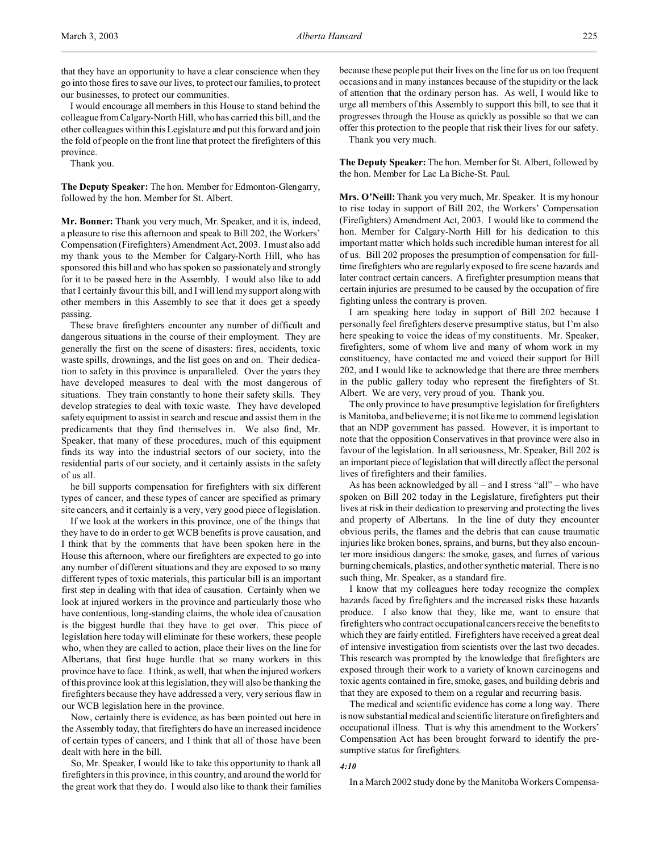that they have an opportunity to have a clear conscience when they go into those fires to save our lives, to protect our families, to protect our businesses, to protect our communities.

I would encourage all members in this House to stand behind the colleague from Calgary-North Hill, who has carried this bill, and the other colleagues within this Legislature and put this forward and join the fold of people on the front line that protect the firefighters of this province.

Thank you.

**The Deputy Speaker:** The hon. Member for Edmonton-Glengarry, followed by the hon. Member for St. Albert.

**Mr. Bonner:** Thank you very much, Mr. Speaker, and it is, indeed, a pleasure to rise this afternoon and speak to Bill 202, the Workers' Compensation (Firefighters) Amendment Act, 2003. I must also add my thank yous to the Member for Calgary-North Hill, who has sponsored this bill and who has spoken so passionately and strongly for it to be passed here in the Assembly. I would also like to add that I certainly favour this bill, and I will lend my support along with other members in this Assembly to see that it does get a speedy passing.

These brave firefighters encounter any number of difficult and dangerous situations in the course of their employment. They are generally the first on the scene of disasters: fires, accidents, toxic waste spills, drownings, and the list goes on and on. Their dedication to safety in this province is unparalleled. Over the years they have developed measures to deal with the most dangerous of situations. They train constantly to hone their safety skills. They develop strategies to deal with toxic waste. They have developed safety equipment to assist in search and rescue and assist them in the predicaments that they find themselves in. We also find, Mr. Speaker, that many of these procedures, much of this equipment finds its way into the industrial sectors of our society, into the residential parts of our society, and it certainly assists in the safety of us all.

he bill supports compensation for firefighters with six different types of cancer, and these types of cancer are specified as primary site cancers, and it certainly is a very, very good piece of legislation.

If we look at the workers in this province, one of the things that they have to do in order to get WCB benefits is prove causation, and I think that by the comments that have been spoken here in the House this afternoon, where our firefighters are expected to go into any number of different situations and they are exposed to so many different types of toxic materials, this particular bill is an important first step in dealing with that idea of causation. Certainly when we look at injured workers in the province and particularly those who have contentious, long-standing claims, the whole idea of causation is the biggest hurdle that they have to get over. This piece of legislation here today will eliminate for these workers, these people who, when they are called to action, place their lives on the line for Albertans, that first huge hurdle that so many workers in this province have to face. I think, as well, that when the injured workers of this province look at this legislation, they will also be thanking the firefighters because they have addressed a very, very serious flaw in our WCB legislation here in the province.

Now, certainly there is evidence, as has been pointed out here in the Assembly today, that firefighters do have an increased incidence of certain types of cancers, and I think that all of those have been dealt with here in the bill.

So, Mr. Speaker, I would like to take this opportunity to thank all firefighters in this province, in this country, and around the world for the great work that they do. I would also like to thank their families because these people put their lives on the line for us on too frequent occasions and in many instances because of the stupidity or the lack of attention that the ordinary person has. As well, I would like to urge all members of this Assembly to support this bill, to see that it progresses through the House as quickly as possible so that we can offer this protection to the people that risk their lives for our safety.

Thank you very much.

**The Deputy Speaker:** The hon. Member for St. Albert, followed by the hon. Member for Lac La Biche-St. Paul.

**Mrs. O'Neill:** Thank you very much, Mr. Speaker. It is my honour to rise today in support of Bill 202, the Workers' Compensation (Firefighters) Amendment Act, 2003. I would like to commend the hon. Member for Calgary-North Hill for his dedication to this important matter which holds such incredible human interest for all of us. Bill 202 proposes the presumption of compensation for fulltime firefighters who are regularly exposed to fire scene hazards and later contract certain cancers. A firefighter presumption means that certain injuries are presumed to be caused by the occupation of fire fighting unless the contrary is proven.

I am speaking here today in support of Bill 202 because I personally feel firefighters deserve presumptive status, but I'm also here speaking to voice the ideas of my constituents. Mr. Speaker, firefighters, some of whom live and many of whom work in my constituency, have contacted me and voiced their support for Bill 202, and I would like to acknowledge that there are three members in the public gallery today who represent the firefighters of St. Albert. We are very, very proud of you. Thank you.

The only province to have presumptive legislation for firefighters is Manitoba, and believe me; it is not like me to commend legislation that an NDP government has passed. However, it is important to note that the opposition Conservatives in that province were also in favour of the legislation. In all seriousness, Mr. Speaker, Bill 202 is an important piece of legislation that will directly affect the personal lives of firefighters and their families.

As has been acknowledged by all – and I stress "all" – who have spoken on Bill 202 today in the Legislature, firefighters put their lives at risk in their dedication to preserving and protecting the lives and property of Albertans. In the line of duty they encounter obvious perils, the flames and the debris that can cause traumatic injuries like broken bones, sprains, and burns, but they also encounter more insidious dangers: the smoke, gases, and fumes of various burning chemicals, plastics, and other synthetic material. There is no such thing, Mr. Speaker, as a standard fire.

I know that my colleagues here today recognize the complex hazards faced by firefighters and the increased risks these hazards produce. I also know that they, like me, want to ensure that firefighters who contract occupational cancers receive the benefits to which they are fairly entitled. Firefighters have received a great deal of intensive investigation from scientists over the last two decades. This research was prompted by the knowledge that firefighters are exposed through their work to a variety of known carcinogens and toxic agents contained in fire, smoke, gases, and building debris and that they are exposed to them on a regular and recurring basis.

The medical and scientific evidence has come a long way. There is now substantial medical and scientific literature on firefighters and occupational illness. That is why this amendment to the Workers' Compensation Act has been brought forward to identify the presumptive status for firefighters.

#### *4:10*

In a March 2002 study done by the Manitoba Workers Compensa-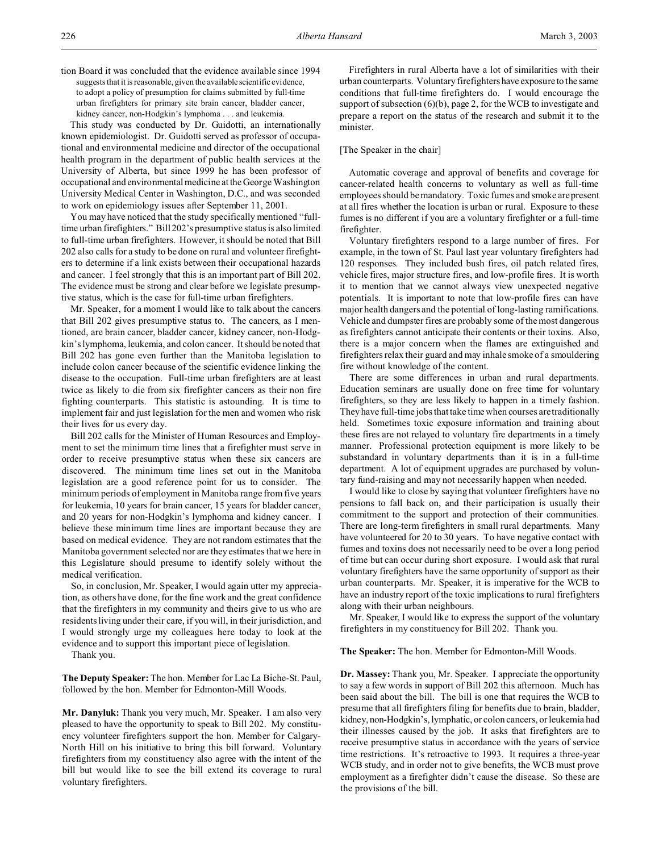tion Board it was concluded that the evidence available since 1994 suggests that it is reasonable, given the available scientific evidence, to adopt a policy of presumption for claims submitted by full-time urban firefighters for primary site brain cancer, bladder cancer, kidney cancer, non-Hodgkin's lymphoma . . . and leukemia.

This study was conducted by Dr. Guidotti, an internationally known epidemiologist. Dr. Guidotti served as professor of occupational and environmental medicine and director of the occupational health program in the department of public health services at the University of Alberta, but since 1999 he has been professor of occupational and environmental medicine at the George Washington University Medical Center in Washington, D.C., and was seconded to work on epidemiology issues after September 11, 2001.

You may have noticed that the study specifically mentioned "fulltime urban firefighters." Bill 202's presumptive status is also limited to full-time urban firefighters. However, it should be noted that Bill 202 also calls for a study to be done on rural and volunteer firefighters to determine if a link exists between their occupational hazards and cancer. I feel strongly that this is an important part of Bill 202. The evidence must be strong and clear before we legislate presumptive status, which is the case for full-time urban firefighters.

Mr. Speaker, for a moment I would like to talk about the cancers that Bill 202 gives presumptive status to. The cancers, as I mentioned, are brain cancer, bladder cancer, kidney cancer, non-Hodgkin's lymphoma, leukemia, and colon cancer. It should be noted that Bill 202 has gone even further than the Manitoba legislation to include colon cancer because of the scientific evidence linking the disease to the occupation. Full-time urban firefighters are at least twice as likely to die from six firefighter cancers as their non fire fighting counterparts. This statistic is astounding. It is time to implement fair and just legislation for the men and women who risk their lives for us every day.

Bill 202 calls for the Minister of Human Resources and Employment to set the minimum time lines that a firefighter must serve in order to receive presumptive status when these six cancers are discovered. The minimum time lines set out in the Manitoba legislation are a good reference point for us to consider. The minimum periods of employment in Manitoba range from five years for leukemia, 10 years for brain cancer, 15 years for bladder cancer, and 20 years for non-Hodgkin's lymphoma and kidney cancer. I believe these minimum time lines are important because they are based on medical evidence. They are not random estimates that the Manitoba government selected nor are they estimates that we here in this Legislature should presume to identify solely without the medical verification.

So, in conclusion, Mr. Speaker, I would again utter my appreciation, as others have done, for the fine work and the great confidence that the firefighters in my community and theirs give to us who are residents living under their care, if you will, in their jurisdiction, and I would strongly urge my colleagues here today to look at the evidence and to support this important piece of legislation.

Thank you.

**The Deputy Speaker:** The hon. Member for Lac La Biche-St. Paul, followed by the hon. Member for Edmonton-Mill Woods.

**Mr. Danyluk:** Thank you very much, Mr. Speaker. I am also very pleased to have the opportunity to speak to Bill 202. My constituency volunteer firefighters support the hon. Member for Calgary-North Hill on his initiative to bring this bill forward. Voluntary firefighters from my constituency also agree with the intent of the bill but would like to see the bill extend its coverage to rural voluntary firefighters.

Firefighters in rural Alberta have a lot of similarities with their urban counterparts. Voluntary firefighters have exposure to the same conditions that full-time firefighters do. I would encourage the support of subsection (6)(b), page 2, for the WCB to investigate and prepare a report on the status of the research and submit it to the minister.

## [The Speaker in the chair]

Automatic coverage and approval of benefits and coverage for cancer-related health concerns to voluntary as well as full-time employees should be mandatory. Toxic fumes and smoke are present at all fires whether the location is urban or rural. Exposure to these fumes is no different if you are a voluntary firefighter or a full-time firefighter.

Voluntary firefighters respond to a large number of fires. For example, in the town of St. Paul last year voluntary firefighters had 120 responses. They included bush fires, oil patch related fires, vehicle fires, major structure fires, and low-profile fires. It is worth it to mention that we cannot always view unexpected negative potentials. It is important to note that low-profile fires can have major health dangers and the potential of long-lasting ramifications. Vehicle and dumpster fires are probably some of the most dangerous as firefighters cannot anticipate their contents or their toxins. Also, there is a major concern when the flames are extinguished and firefighters relax their guard and may inhale smoke of a smouldering fire without knowledge of the content.

There are some differences in urban and rural departments. Education seminars are usually done on free time for voluntary firefighters, so they are less likely to happen in a timely fashion. They have full-time jobs that take time when courses are traditionally held. Sometimes toxic exposure information and training about these fires are not relayed to voluntary fire departments in a timely manner. Professional protection equipment is more likely to be substandard in voluntary departments than it is in a full-time department. A lot of equipment upgrades are purchased by voluntary fund-raising and may not necessarily happen when needed.

I would like to close by saying that volunteer firefighters have no pensions to fall back on, and their participation is usually their commitment to the support and protection of their communities. There are long-term firefighters in small rural departments. Many have volunteered for 20 to 30 years. To have negative contact with fumes and toxins does not necessarily need to be over a long period of time but can occur during short exposure. I would ask that rural voluntary firefighters have the same opportunity of support as their urban counterparts. Mr. Speaker, it is imperative for the WCB to have an industry report of the toxic implications to rural firefighters along with their urban neighbours.

Mr. Speaker, I would like to express the support of the voluntary firefighters in my constituency for Bill 202. Thank you.

**The Speaker:** The hon. Member for Edmonton-Mill Woods.

**Dr. Massey:** Thank you, Mr. Speaker. I appreciate the opportunity to say a few words in support of Bill 202 this afternoon. Much has been said about the bill. The bill is one that requires the WCB to presume that all firefighters filing for benefits due to brain, bladder, kidney, non-Hodgkin's, lymphatic, or colon cancers, or leukemia had their illnesses caused by the job. It asks that firefighters are to receive presumptive status in accordance with the years of service time restrictions. It's retroactive to 1993. It requires a three-year WCB study, and in order not to give benefits, the WCB must prove employment as a firefighter didn't cause the disease. So these are the provisions of the bill.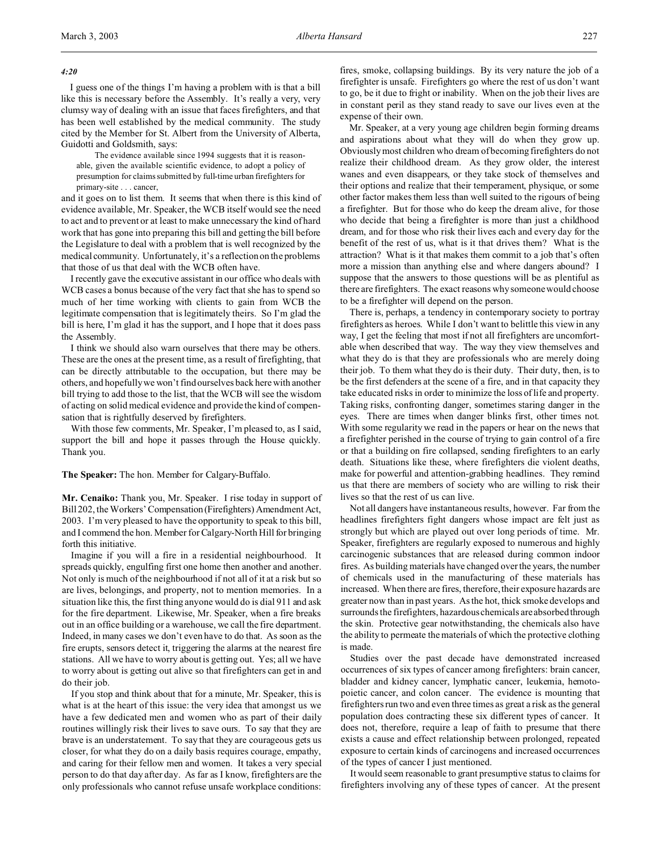#### *4:20*

I guess one of the things I'm having a problem with is that a bill like this is necessary before the Assembly. It's really a very, very clumsy way of dealing with an issue that faces firefighters, and that has been well established by the medical community. The study cited by the Member for St. Albert from the University of Alberta, Guidotti and Goldsmith, says:

The evidence available since 1994 suggests that it is reasonable, given the available scientific evidence, to adopt a policy of presumption for claims submitted by full-time urban firefighters for primary-site . . . cancer,

and it goes on to list them. It seems that when there is this kind of evidence available, Mr. Speaker, the WCB itself would see the need to act and to prevent or at least to make unnecessary the kind of hard work that has gone into preparing this bill and getting the bill before the Legislature to deal with a problem that is well recognized by the medical community. Unfortunately, it's a reflection on the problems that those of us that deal with the WCB often have.

I recently gave the executive assistant in our office who deals with WCB cases a bonus because of the very fact that she has to spend so much of her time working with clients to gain from WCB the legitimate compensation that is legitimately theirs. So I'm glad the bill is here, I'm glad it has the support, and I hope that it does pass the Assembly.

I think we should also warn ourselves that there may be others. These are the ones at the present time, as a result of firefighting, that can be directly attributable to the occupation, but there may be others, and hopefully we won't find ourselves back here with another bill trying to add those to the list, that the WCB will see the wisdom of acting on solid medical evidence and provide the kind of compensation that is rightfully deserved by firefighters.

With those few comments, Mr. Speaker, I'm pleased to, as I said, support the bill and hope it passes through the House quickly. Thank you.

**The Speaker:** The hon. Member for Calgary-Buffalo.

**Mr. Cenaiko:** Thank you, Mr. Speaker. I rise today in support of Bill 202, the Workers' Compensation(Firefighters) Amendment Act, 2003. I'm very pleased to have the opportunity to speak to this bill, and I commend the hon. Member for Calgary-North Hill for bringing forth this initiative.

Imagine if you will a fire in a residential neighbourhood. It spreads quickly, engulfing first one home then another and another. Not only is much of the neighbourhood if not all of it at a risk but so are lives, belongings, and property, not to mention memories. In a situation like this, the first thing anyone would do is dial 911 and ask for the fire department. Likewise, Mr. Speaker, when a fire breaks out in an office building or a warehouse, we call the fire department. Indeed, in many cases we don't even have to do that. As soon as the fire erupts, sensors detect it, triggering the alarms at the nearest fire stations. All we have to worry about is getting out. Yes; all we have to worry about is getting out alive so that firefighters can get in and do their job.

If you stop and think about that for a minute, Mr. Speaker, this is what is at the heart of this issue: the very idea that amongst us we have a few dedicated men and women who as part of their daily routines willingly risk their lives to save ours. To say that they are brave is an understatement. To say that they are courageous gets us closer, for what they do on a daily basis requires courage, empathy, and caring for their fellow men and women. It takes a very special person to do that day after day. As far as I know, firefighters are the only professionals who cannot refuse unsafe workplace conditions:

fires, smoke, collapsing buildings. By its very nature the job of a firefighter is unsafe. Firefighters go where the rest of us don't want to go, be it due to fright or inability. When on the job their lives are in constant peril as they stand ready to save our lives even at the expense of their own.

Mr. Speaker, at a very young age children begin forming dreams and aspirations about what they will do when they grow up. Obviously most children who dream of becoming firefighters do not realize their childhood dream. As they grow older, the interest wanes and even disappears, or they take stock of themselves and their options and realize that their temperament, physique, or some other factor makes them less than well suited to the rigours of being a firefighter. But for those who do keep the dream alive, for those who decide that being a firefighter is more than just a childhood dream, and for those who risk their lives each and every day for the benefit of the rest of us, what is it that drives them? What is the attraction? What is it that makes them commit to a job that's often more a mission than anything else and where dangers abound? I suppose that the answers to those questions will be as plentiful as there are firefighters. The exact reasons why someone would choose to be a firefighter will depend on the person.

There is, perhaps, a tendency in contemporary society to portray firefighters as heroes. While I don't want to belittle this view in any way, I get the feeling that most if not all firefighters are uncomfortable when described that way. The way they view themselves and what they do is that they are professionals who are merely doing their job. To them what they do is their duty. Their duty, then, is to be the first defenders at the scene of a fire, and in that capacity they take educated risks in order to minimize the loss of life and property. Taking risks, confronting danger, sometimes staring danger in the eyes. There are times when danger blinks first, other times not. With some regularity we read in the papers or hear on the news that a firefighter perished in the course of trying to gain control of a fire or that a building on fire collapsed, sending firefighters to an early death. Situations like these, where firefighters die violent deaths, make for powerful and attention-grabbing headlines. They remind us that there are members of society who are willing to risk their lives so that the rest of us can live.

Not all dangers have instantaneous results, however. Far from the headlines firefighters fight dangers whose impact are felt just as strongly but which are played out over long periods of time. Mr. Speaker, firefighters are regularly exposed to numerous and highly carcinogenic substances that are released during common indoor fires. As building materials have changed over the years, the number of chemicals used in the manufacturing of these materials has increased. When there are fires, therefore, their exposure hazards are greater now than in past years. As the hot, thick smoke develops and surrounds the firefighters, hazardous chemicals are absorbed through the skin. Protective gear notwithstanding, the chemicals also have the ability to permeate the materials of which the protective clothing is made.

Studies over the past decade have demonstrated increased occurrences of six types of cancer among firefighters: brain cancer, bladder and kidney cancer, lymphatic cancer, leukemia, hemotopoietic cancer, and colon cancer. The evidence is mounting that firefighters run two and even three times as great a risk as the general population does contracting these six different types of cancer. It does not, therefore, require a leap of faith to presume that there exists a cause and effect relationship between prolonged, repeated exposure to certain kinds of carcinogens and increased occurrences of the types of cancer I just mentioned.

It would seem reasonable to grant presumptive status to claims for firefighters involving any of these types of cancer. At the present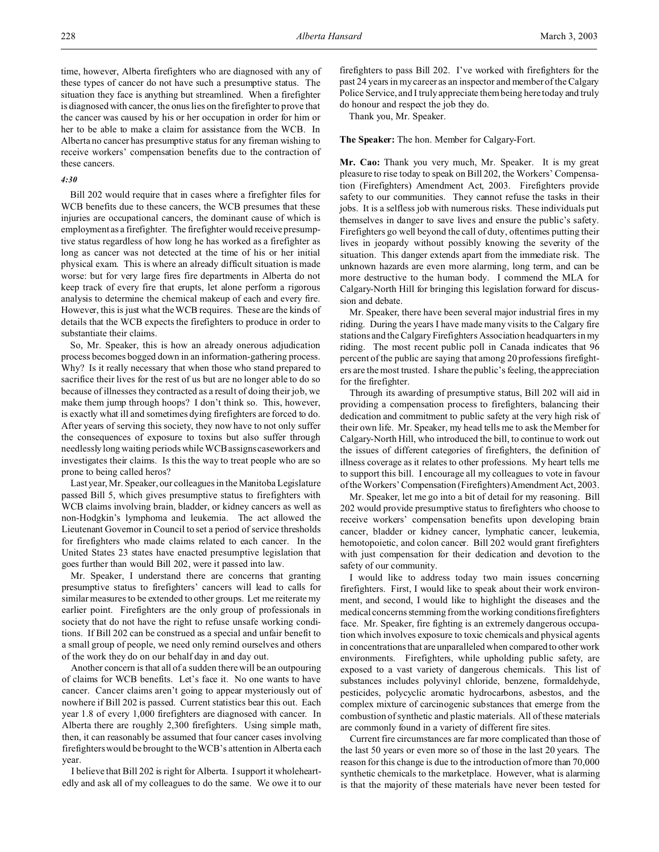time, however, Alberta firefighters who are diagnosed with any of these types of cancer do not have such a presumptive status. The situation they face is anything but streamlined. When a firefighter is diagnosed with cancer, the onus lies on the firefighter to prove that the cancer was caused by his or her occupation in order for him or her to be able to make a claim for assistance from the WCB. In Alberta no cancer has presumptive status for any fireman wishing to receive workers' compensation benefits due to the contraction of these cancers.

## *4:30*

Bill 202 would require that in cases where a firefighter files for WCB benefits due to these cancers, the WCB presumes that these injuries are occupational cancers, the dominant cause of which is employment as a firefighter. The firefighter would receive presumptive status regardless of how long he has worked as a firefighter as long as cancer was not detected at the time of his or her initial physical exam. This is where an already difficult situation is made worse: but for very large fires fire departments in Alberta do not keep track of every fire that erupts, let alone perform a rigorous analysis to determine the chemical makeup of each and every fire. However, this is just what the WCB requires. These are the kinds of details that the WCB expects the firefighters to produce in order to substantiate their claims.

So, Mr. Speaker, this is how an already onerous adjudication process becomes bogged down in an information-gathering process. Why? Is it really necessary that when those who stand prepared to sacrifice their lives for the rest of us but are no longer able to do so because of illnesses they contracted as a result of doing their job, we make them jump through hoops? I don't think so. This, however, is exactly what ill and sometimes dying firefighters are forced to do. After years of serving this society, they now have to not only suffer the consequences of exposure to toxins but also suffer through needlessly long waiting periods while WCB assigns caseworkers and investigates their claims. Is this the way to treat people who are so prone to being called heros?

Last year, Mr. Speaker, our colleagues in the Manitoba Legislature passed Bill 5, which gives presumptive status to firefighters with WCB claims involving brain, bladder, or kidney cancers as well as non-Hodgkin's lymphoma and leukemia. The act allowed the Lieutenant Governor in Council to set a period of service thresholds for firefighters who made claims related to each cancer. In the United States 23 states have enacted presumptive legislation that goes further than would Bill 202, were it passed into law.

Mr. Speaker, I understand there are concerns that granting presumptive status to firefighters' cancers will lead to calls for similar measures to be extended to other groups. Let me reiterate my earlier point. Firefighters are the only group of professionals in society that do not have the right to refuse unsafe working conditions. If Bill 202 can be construed as a special and unfair benefit to a small group of people, we need only remind ourselves and others of the work they do on our behalf day in and day out.

Another concern is that all of a sudden there will be an outpouring of claims for WCB benefits. Let's face it. No one wants to have cancer. Cancer claims aren't going to appear mysteriously out of nowhere if Bill 202 is passed. Current statistics bear this out. Each year 1.8 of every 1,000 firefighters are diagnosed with cancer. In Alberta there are roughly 2,300 firefighters. Using simple math, then, it can reasonably be assumed that four cancer cases involving firefighters would be brought to the WCB's attention in Alberta each year.

I believe that Bill 202 is right for Alberta. I support it wholeheartedly and ask all of my colleagues to do the same. We owe it to our firefighters to pass Bill 202. I've worked with firefighters for the past 24 years in my career as an inspector and member of the Calgary Police Service, and I truly appreciate them being here today and truly do honour and respect the job they do.

Thank you, Mr. Speaker.

#### **The Speaker:** The hon. Member for Calgary-Fort.

**Mr. Cao:** Thank you very much, Mr. Speaker. It is my great pleasure to rise today to speak on Bill 202, the Workers' Compensation (Firefighters) Amendment Act, 2003. Firefighters provide safety to our communities. They cannot refuse the tasks in their jobs. It is a selfless job with numerous risks. These individuals put themselves in danger to save lives and ensure the public's safety. Firefighters go well beyond the call of duty, oftentimes putting their lives in jeopardy without possibly knowing the severity of the situation. This danger extends apart from the immediate risk. The unknown hazards are even more alarming, long term, and can be more destructive to the human body. I commend the MLA for Calgary-North Hill for bringing this legislation forward for discussion and debate.

Mr. Speaker, there have been several major industrial fires in my riding. During the years I have made many visits to the Calgary fire stations and the Calgary Firefighters Association headquarters in my riding. The most recent public poll in Canada indicates that 96 percent of the public are saying that among 20 professions firefighters are the most trusted. I share the public's feeling, the appreciation for the firefighter.

Through its awarding of presumptive status, Bill 202 will aid in providing a compensation process to firefighters, balancing their dedication and commitment to public safety at the very high risk of their own life. Mr. Speaker, my head tells me to ask the Member for Calgary-North Hill, who introduced the bill, to continue to work out the issues of different categories of firefighters, the definition of illness coverage as it relates to other professions. My heart tells me to support this bill. I encourage all my colleagues to vote in favour of the Workers' Compensation (Firefighters) Amendment Act, 2003.

Mr. Speaker, let me go into a bit of detail for my reasoning. Bill 202 would provide presumptive status to firefighters who choose to receive workers' compensation benefits upon developing brain cancer, bladder or kidney cancer, lymphatic cancer, leukemia, hemotopoietic, and colon cancer. Bill 202 would grant firefighters with just compensation for their dedication and devotion to the safety of our community.

I would like to address today two main issues concerning firefighters. First, I would like to speak about their work environment, and second, I would like to highlight the diseases and the medical concerns stemming from the working conditions firefighters face. Mr. Speaker, fire fighting is an extremely dangerous occupation which involves exposure to toxic chemicals and physical agents in concentrations that are unparalleled when compared to other work environments. Firefighters, while upholding public safety, are exposed to a vast variety of dangerous chemicals. This list of substances includes polyvinyl chloride, benzene, formaldehyde, pesticides, polycyclic aromatic hydrocarbons, asbestos, and the complex mixture of carcinogenic substances that emerge from the combustion of synthetic and plastic materials. All of these materials are commonly found in a variety of different fire sites.

Current fire circumstances are far more complicated than those of the last 50 years or even more so of those in the last 20 years. The reason for this change is due to the introduction of more than 70,000 synthetic chemicals to the marketplace. However, what is alarming is that the majority of these materials have never been tested for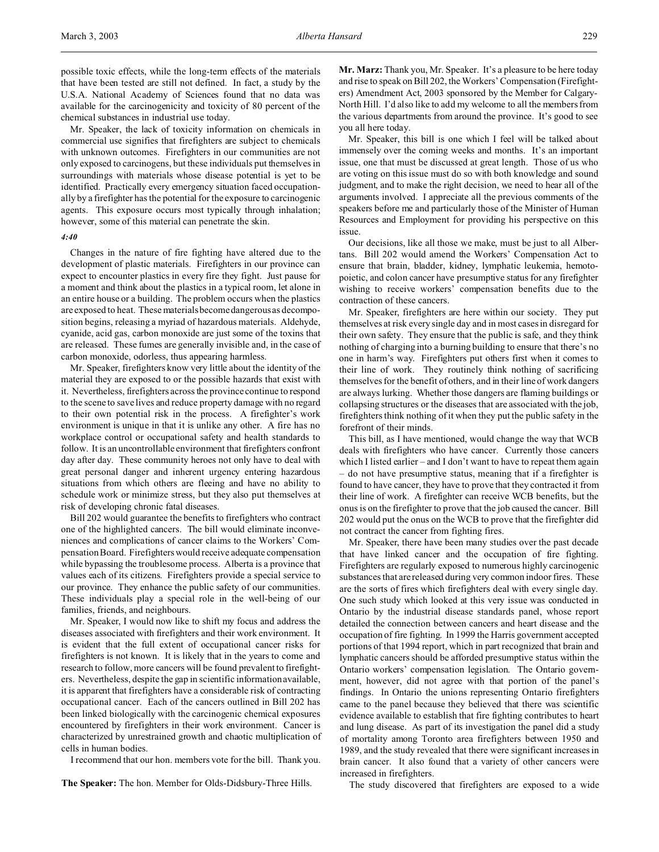possible toxic effects, while the long-term effects of the materials that have been tested are still not defined. In fact, a study by the U.S.A. National Academy of Sciences found that no data was available for the carcinogenicity and toxicity of 80 percent of the chemical substances in industrial use today.

Mr. Speaker, the lack of toxicity information on chemicals in commercial use signifies that firefighters are subject to chemicals with unknown outcomes. Firefighters in our communities are not only exposed to carcinogens, but these individuals put themselves in surroundings with materials whose disease potential is yet to be identified. Practically every emergency situation faced occupationally by a firefighter has the potential for the exposure to carcinogenic agents. This exposure occurs most typically through inhalation; however, some of this material can penetrate the skin.

#### *4:40*

Changes in the nature of fire fighting have altered due to the development of plastic materials. Firefighters in our province can expect to encounter plastics in every fire they fight. Just pause for a moment and think about the plastics in a typical room, let alone in an entire house or a building. The problem occurs when the plastics are exposed to heat. These materials become dangerous as decomposition begins, releasing a myriad of hazardous materials. Aldehyde, cyanide, acid gas, carbon monoxide are just some of the toxins that are released. These fumes are generally invisible and, in the case of carbon monoxide, odorless, thus appearing harmless.

Mr. Speaker, firefighters know very little about the identity of the material they are exposed to or the possible hazards that exist with it. Nevertheless, firefighters across the province continue to respond to the scene to save lives and reduce property damage with no regard to their own potential risk in the process. A firefighter's work environment is unique in that it is unlike any other. A fire has no workplace control or occupational safety and health standards to follow. It is an uncontrollable environment that firefighters confront day after day. These community heroes not only have to deal with great personal danger and inherent urgency entering hazardous situations from which others are fleeing and have no ability to schedule work or minimize stress, but they also put themselves at risk of developing chronic fatal diseases.

Bill 202 would guarantee the benefits to firefighters who contract one of the highlighted cancers. The bill would eliminate inconveniences and complications of cancer claims to the Workers' Compensation Board. Firefighters would receive adequate compensation while bypassing the troublesome process. Alberta is a province that values each of its citizens. Firefighters provide a special service to our province. They enhance the public safety of our communities. These individuals play a special role in the well-being of our families, friends, and neighbours.

Mr. Speaker, I would now like to shift my focus and address the diseases associated with firefighters and their work environment. It is evident that the full extent of occupational cancer risks for firefighters is not known. It is likely that in the years to come and research to follow, more cancers will be found prevalent to firefighters. Nevertheless, despite the gap in scientific information available, it is apparent that firefighters have a considerable risk of contracting occupational cancer. Each of the cancers outlined in Bill 202 has been linked biologically with the carcinogenic chemical exposures encountered by firefighters in their work environment. Cancer is characterized by unrestrained growth and chaotic multiplication of cells in human bodies.

I recommend that our hon. members vote for the bill. Thank you.

**The Speaker:** The hon. Member for Olds-Didsbury-Three Hills.

**Mr. Marz:** Thank you, Mr. Speaker. It's a pleasure to be here today and rise to speak on Bill 202, the Workers' Compensation (Firefighters) Amendment Act, 2003 sponsored by the Member for Calgary-North Hill. I'd also like to add my welcome to all the members from the various departments from around the province. It's good to see you all here today.

Mr. Speaker, this bill is one which I feel will be talked about immensely over the coming weeks and months. It's an important issue, one that must be discussed at great length. Those of us who are voting on this issue must do so with both knowledge and sound judgment, and to make the right decision, we need to hear all of the arguments involved. I appreciate all the previous comments of the speakers before me and particularly those of the Minister of Human Resources and Employment for providing his perspective on this issue.

Our decisions, like all those we make, must be just to all Albertans. Bill 202 would amend the Workers' Compensation Act to ensure that brain, bladder, kidney, lymphatic leukemia, hemotopoietic, and colon cancer have presumptive status for any firefighter wishing to receive workers' compensation benefits due to the contraction of these cancers.

Mr. Speaker, firefighters are here within our society. They put themselves at risk every single day and in most cases in disregard for their own safety. They ensure that the public is safe, and they think nothing of charging into a burning building to ensure that there's no one in harm's way. Firefighters put others first when it comes to their line of work. They routinely think nothing of sacrificing themselves for the benefit of others, and in their line of work dangers are always lurking. Whether those dangers are flaming buildings or collapsing structures or the diseases that are associated with the job, firefighters think nothing of it when they put the public safety in the forefront of their minds.

This bill, as I have mentioned, would change the way that WCB deals with firefighters who have cancer. Currently those cancers which I listed earlier – and I don't want to have to repeat them again – do not have presumptive status, meaning that if a firefighter is found to have cancer, they have to prove that they contracted it from their line of work. A firefighter can receive WCB benefits, but the onus is on the firefighter to prove that the job caused the cancer. Bill 202 would put the onus on the WCB to prove that the firefighter did not contract the cancer from fighting fires.

Mr. Speaker, there have been many studies over the past decade that have linked cancer and the occupation of fire fighting. Firefighters are regularly exposed to numerous highly carcinogenic substances that are released during very common indoor fires. These are the sorts of fires which firefighters deal with every single day. One such study which looked at this very issue was conducted in Ontario by the industrial disease standards panel, whose report detailed the connection between cancers and heart disease and the occupation of fire fighting. In 1999 the Harris government accepted portions of that 1994 report, which in part recognized that brain and lymphatic cancers should be afforded presumptive status within the Ontario workers' compensation legislation. The Ontario government, however, did not agree with that portion of the panel's findings. In Ontario the unions representing Ontario firefighters came to the panel because they believed that there was scientific evidence available to establish that fire fighting contributes to heart and lung disease. As part of its investigation the panel did a study of mortality among Toronto area firefighters between 1950 and 1989, and the study revealed that there were significant increases in brain cancer. It also found that a variety of other cancers were increased in firefighters.

The study discovered that firefighters are exposed to a wide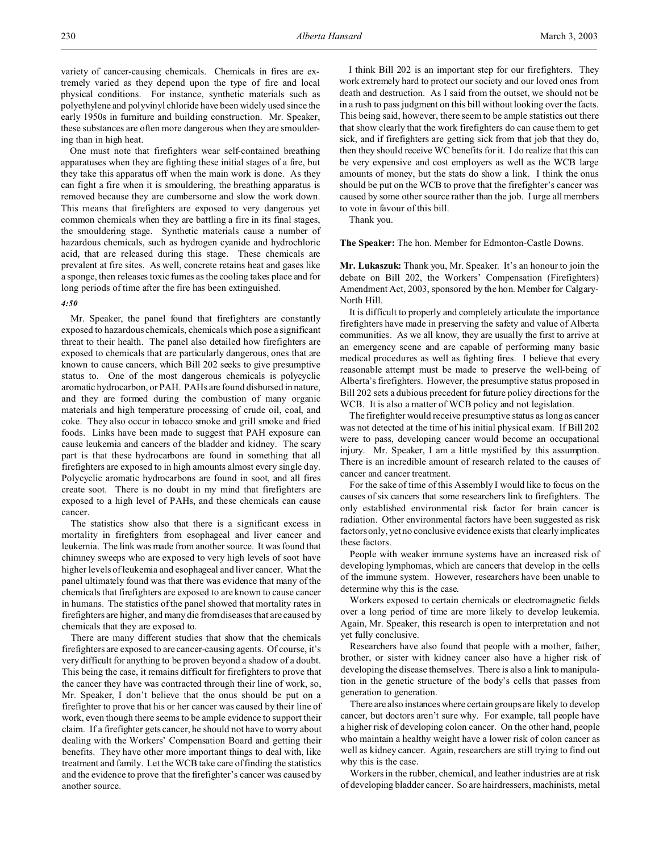One must note that firefighters wear self-contained breathing apparatuses when they are fighting these initial stages of a fire, but they take this apparatus off when the main work is done. As they can fight a fire when it is smouldering, the breathing apparatus is removed because they are cumbersome and slow the work down. This means that firefighters are exposed to very dangerous yet common chemicals when they are battling a fire in its final stages, the smouldering stage. Synthetic materials cause a number of hazardous chemicals, such as hydrogen cyanide and hydrochloric acid, that are released during this stage. These chemicals are prevalent at fire sites. As well, concrete retains heat and gases like a sponge, then releases toxic fumes as the cooling takes place and for long periods of time after the fire has been extinguished.

# *4:50*

Mr. Speaker, the panel found that firefighters are constantly exposed to hazardous chemicals, chemicals which pose a significant threat to their health. The panel also detailed how firefighters are exposed to chemicals that are particularly dangerous, ones that are known to cause cancers, which Bill 202 seeks to give presumptive status to. One of the most dangerous chemicals is polycyclic aromatic hydrocarbon, or PAH. PAHs are found disbursed in nature, and they are formed during the combustion of many organic materials and high temperature processing of crude oil, coal, and coke. They also occur in tobacco smoke and grill smoke and fried foods. Links have been made to suggest that PAH exposure can cause leukemia and cancers of the bladder and kidney. The scary part is that these hydrocarbons are found in something that all firefighters are exposed to in high amounts almost every single day. Polycyclic aromatic hydrocarbons are found in soot, and all fires create soot. There is no doubt in my mind that firefighters are exposed to a high level of PAHs, and these chemicals can cause cancer.

The statistics show also that there is a significant excess in mortality in firefighters from esophageal and liver cancer and leukemia. The link was made from another source. It was found that chimney sweeps who are exposed to very high levels of soot have higher levels of leukemia and esophageal and liver cancer. What the panel ultimately found was that there was evidence that many of the chemicals that firefighters are exposed to are known to cause cancer in humans. The statistics of the panel showed that mortality rates in firefighters are higher, and many die from diseases that are caused by chemicals that they are exposed to.

There are many different studies that show that the chemicals firefighters are exposed to are cancer-causing agents. Of course, it's very difficult for anything to be proven beyond a shadow of a doubt. This being the case, it remains difficult for firefighters to prove that the cancer they have was contracted through their line of work, so, Mr. Speaker, I don't believe that the onus should be put on a firefighter to prove that his or her cancer was caused by their line of work, even though there seems to be ample evidence to support their claim. If a firefighter gets cancer, he should not have to worry about dealing with the Workers' Compensation Board and getting their benefits. They have other more important things to deal with, like treatment and family. Let the WCB take care of finding the statistics and the evidence to prove that the firefighter's cancer was caused by another source.

I think Bill 202 is an important step for our firefighters. They work extremely hard to protect our society and our loved ones from death and destruction. As I said from the outset, we should not be in a rush to pass judgment on this bill without looking over the facts. This being said, however, there seem to be ample statistics out there that show clearly that the work firefighters do can cause them to get sick, and if firefighters are getting sick from that job that they do, then they should receive WC benefits for it. I do realize that this can be very expensive and cost employers as well as the WCB large amounts of money, but the stats do show a link. I think the onus should be put on the WCB to prove that the firefighter's cancer was caused by some other source rather than the job. I urge all members to vote in favour of this bill.

Thank you.

**The Speaker:** The hon. Member for Edmonton-Castle Downs.

**Mr. Lukaszuk:** Thank you, Mr. Speaker. It's an honour to join the debate on Bill 202, the Workers' Compensation (Firefighters) Amendment Act, 2003, sponsored by the hon. Member for Calgary-North Hill.

It is difficult to properly and completely articulate the importance firefighters have made in preserving the safety and value of Alberta communities. As we all know, they are usually the first to arrive at an emergency scene and are capable of performing many basic medical procedures as well as fighting fires. I believe that every reasonable attempt must be made to preserve the well-being of Alberta's firefighters. However, the presumptive status proposed in Bill 202 sets a dubious precedent for future policy directions for the WCB. It is also a matter of WCB policy and not legislation.

The firefighter would receive presumptive status as long as cancer was not detected at the time of his initial physical exam. If Bill 202 were to pass, developing cancer would become an occupational injury. Mr. Speaker, I am a little mystified by this assumption. There is an incredible amount of research related to the causes of cancer and cancer treatment.

For the sake of time of this Assembly I would like to focus on the causes of six cancers that some researchers link to firefighters. The only established environmental risk factor for brain cancer is radiation. Other environmental factors have been suggested as risk factors only, yet no conclusive evidence exists that clearly implicates these factors.

People with weaker immune systems have an increased risk of developing lymphomas, which are cancers that develop in the cells of the immune system. However, researchers have been unable to determine why this is the case.

Workers exposed to certain chemicals or electromagnetic fields over a long period of time are more likely to develop leukemia. Again, Mr. Speaker, this research is open to interpretation and not yet fully conclusive.

Researchers have also found that people with a mother, father, brother, or sister with kidney cancer also have a higher risk of developing the disease themselves. There is also a link to manipulation in the genetic structure of the body's cells that passes from generation to generation.

There are also instances where certain groups are likely to develop cancer, but doctors aren't sure why. For example, tall people have a higher risk of developing colon cancer. On the other hand, people who maintain a healthy weight have a lower risk of colon cancer as well as kidney cancer. Again, researchers are still trying to find out why this is the case.

Workers in the rubber, chemical, and leather industries are at risk of developing bladder cancer. So are hairdressers, machinists, metal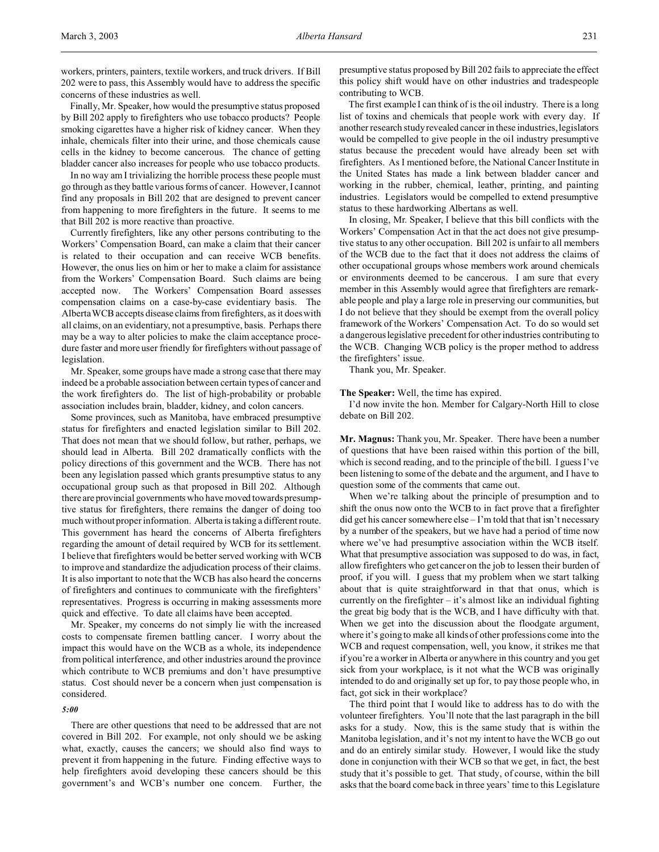workers, printers, painters, textile workers, and truck drivers. If Bill 202 were to pass, this Assembly would have to address the specific concerns of these industries as well.

Finally, Mr. Speaker, how would the presumptive status proposed by Bill 202 apply to firefighters who use tobacco products? People smoking cigarettes have a higher risk of kidney cancer. When they inhale, chemicals filter into their urine, and those chemicals cause cells in the kidney to become cancerous. The chance of getting bladder cancer also increases for people who use tobacco products.

In no way am I trivializing the horrible process these people must go through as they battle various forms of cancer. However, I cannot find any proposals in Bill 202 that are designed to prevent cancer from happening to more firefighters in the future. It seems to me that Bill 202 is more reactive than proactive.

Currently firefighters, like any other persons contributing to the Workers' Compensation Board, can make a claim that their cancer is related to their occupation and can receive WCB benefits. However, the onus lies on him or her to make a claim for assistance from the Workers' Compensation Board. Such claims are being accepted now. The Workers' Compensation Board assesses compensation claims on a case-by-case evidentiary basis. The Alberta WCB accepts disease claims from firefighters, as it does with all claims, on an evidentiary, not a presumptive, basis. Perhaps there may be a way to alter policies to make the claim acceptance procedure faster and more user friendly for firefighters without passage of legislation.

Mr. Speaker, some groups have made a strong case that there may indeed be a probable association between certain types of cancer and the work firefighters do. The list of high-probability or probable association includes brain, bladder, kidney, and colon cancers.

Some provinces, such as Manitoba, have embraced presumptive status for firefighters and enacted legislation similar to Bill 202. That does not mean that we should follow, but rather, perhaps, we should lead in Alberta. Bill 202 dramatically conflicts with the policy directions of this government and the WCB. There has not been any legislation passed which grants presumptive status to any occupational group such as that proposed in Bill 202. Although there are provincial governments who have moved towards presumptive status for firefighters, there remains the danger of doing too much without proper information. Alberta is taking a different route. This government has heard the concerns of Alberta firefighters regarding the amount of detail required by WCB for its settlement. I believe that firefighters would be better served working with WCB to improve and standardize the adjudication process of their claims. It is also important to note that the WCB has also heard the concerns of firefighters and continues to communicate with the firefighters' representatives. Progress is occurring in making assessments more quick and effective. To date all claims have been accepted.

Mr. Speaker, my concerns do not simply lie with the increased costs to compensate firemen battling cancer. I worry about the impact this would have on the WCB as a whole, its independence from political interference, and other industries around the province which contribute to WCB premiums and don't have presumptive status. Cost should never be a concern when just compensation is considered.

## *5:00*

There are other questions that need to be addressed that are not covered in Bill 202. For example, not only should we be asking what, exactly, causes the cancers; we should also find ways to prevent it from happening in the future. Finding effective ways to help firefighters avoid developing these cancers should be this government's and WCB's number one concern. Further, the

presumptive status proposed by Bill 202 fails to appreciate the effect this policy shift would have on other industries and tradespeople contributing to WCB.

The first example I can think of is the oil industry. There is a long list of toxins and chemicals that people work with every day. If another research study revealed cancer in these industries, legislators would be compelled to give people in the oil industry presumptive status because the precedent would have already been set with firefighters. As I mentioned before, the National Cancer Institute in the United States has made a link between bladder cancer and working in the rubber, chemical, leather, printing, and painting industries. Legislators would be compelled to extend presumptive status to these hardworking Albertans as well.

In closing, Mr. Speaker, I believe that this bill conflicts with the Workers' Compensation Act in that the act does not give presumptive status to any other occupation. Bill 202 is unfair to all members of the WCB due to the fact that it does not address the claims of other occupational groups whose members work around chemicals or environments deemed to be cancerous. I am sure that every member in this Assembly would agree that firefighters are remarkable people and play a large role in preserving our communities, but I do not believe that they should be exempt from the overall policy framework of the Workers' Compensation Act. To do so would set a dangerous legislative precedent for other industries contributing to the WCB. Changing WCB policy is the proper method to address the firefighters' issue.

Thank you, Mr. Speaker.

**The Speaker:** Well, the time has expired.

I'd now invite the hon. Member for Calgary-North Hill to close debate on Bill 202.

**Mr. Magnus:** Thank you, Mr. Speaker. There have been a number of questions that have been raised within this portion of the bill, which is second reading, and to the principle of the bill. I guess I've been listening to some of the debate and the argument, and I have to question some of the comments that came out.

When we're talking about the principle of presumption and to shift the onus now onto the WCB to in fact prove that a firefighter  $\text{did}$  get his cancer somewhere  $\text{else}-\text{I}'$  m told that that isn't necessary by a number of the speakers, but we have had a period of time now where we've had presumptive association within the WCB itself. What that presumptive association was supposed to do was, in fact, allow firefighters who get cancer on the job to lessen their burden of proof, if you will. I guess that my problem when we start talking about that is quite straightforward in that that onus, which is currently on the firefighter  $-$  it's almost like an individual fighting the great big body that is the WCB, and I have difficulty with that. When we get into the discussion about the floodgate argument, where it's going to make all kinds of other professions come into the WCB and request compensation, well, you know, it strikes me that if you're a worker in Alberta or anywhere in this country and you get sick from your workplace, is it not what the WCB was originally intended to do and originally set up for, to pay those people who, in fact, got sick in their workplace?

The third point that I would like to address has to do with the volunteer firefighters. You'll note that the last paragraph in the bill asks for a study. Now, this is the same study that is within the Manitoba legislation, and it's not my intent to have the WCB go out and do an entirely similar study. However, I would like the study done in conjunction with their WCB so that we get, in fact, the best study that it's possible to get. That study, of course, within the bill asks that the board come back in three years' time to this Legislature